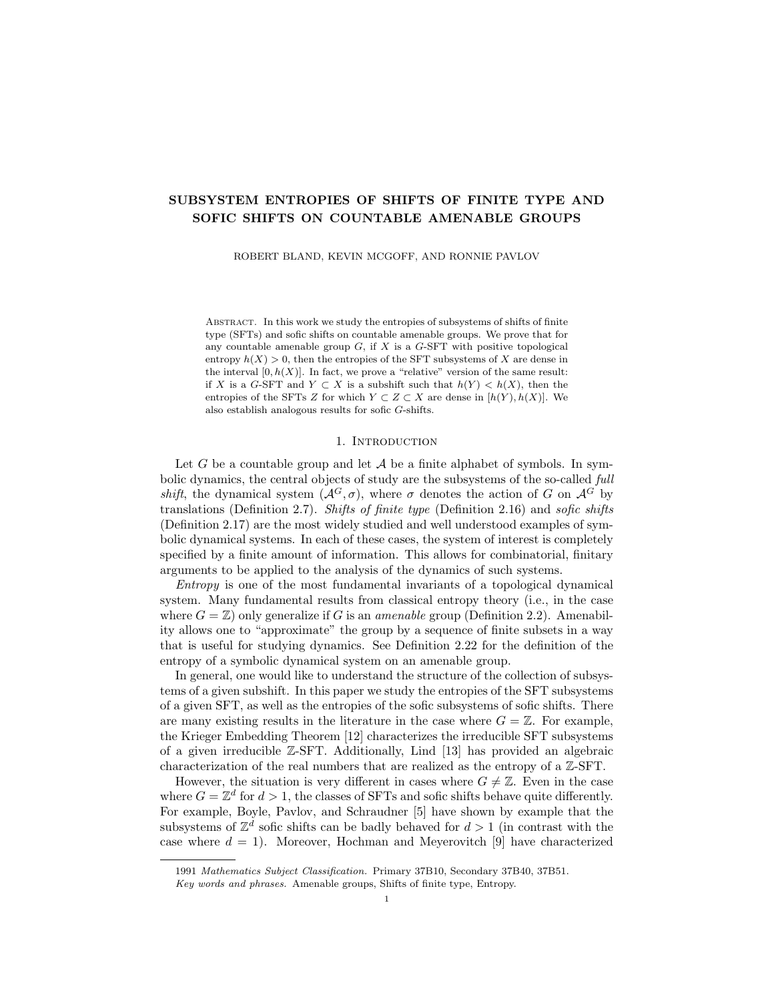# SUBSYSTEM ENTROPIES OF SHIFTS OF FINITE TYPE AND SOFIC SHIFTS ON COUNTABLE AMENABLE GROUPS

ROBERT BLAND, KEVIN MCGOFF, AND RONNIE PAVLOV

Abstract. In this work we study the entropies of subsystems of shifts of finite type (SFTs) and sofic shifts on countable amenable groups. We prove that for any countable amenable group  $G$ , if  $X$  is a  $G$ -SFT with positive topological entropy  $h(X) > 0$ , then the entropies of the SFT subsystems of X are dense in the interval  $[0, h(X)]$ . In fact, we prove a "relative" version of the same result: if X is a G-SFT and  $Y \subset X$  is a subshift such that  $h(Y) < h(X)$ , then the entropies of the SFTs Z for which  $Y \subset Z \subset X$  are dense in  $[h(Y), h(X)]$ . We also establish analogous results for sofic G-shifts.

# 1. INTRODUCTION

Let G be a countable group and let  $A$  be a finite alphabet of symbols. In symbolic dynamics, the central objects of study are the subsystems of the so-called full shift, the dynamical system  $(A^G, \sigma)$ , where  $\sigma$  denotes the action of G on  $\mathcal{A}^G$  by translations (Definition 2.7). Shifts of finite type (Definition 2.16) and sofic shifts (Definition 2.17) are the most widely studied and well understood examples of symbolic dynamical systems. In each of these cases, the system of interest is completely specified by a finite amount of information. This allows for combinatorial, finitary arguments to be applied to the analysis of the dynamics of such systems.

Entropy is one of the most fundamental invariants of a topological dynamical system. Many fundamental results from classical entropy theory (i.e., in the case where  $G = \mathbb{Z}$ ) only generalize if G is an *amenable* group (Definition 2.2). Amenability allows one to "approximate" the group by a sequence of finite subsets in a way that is useful for studying dynamics. See Definition 2.22 for the definition of the entropy of a symbolic dynamical system on an amenable group.

In general, one would like to understand the structure of the collection of subsystems of a given subshift. In this paper we study the entropies of the SFT subsystems of a given SFT, as well as the entropies of the sofic subsystems of sofic shifts. There are many existing results in the literature in the case where  $G = \mathbb{Z}$ . For example, the Krieger Embedding Theorem [12] characterizes the irreducible SFT subsystems of a given irreducible Z-SFT. Additionally, Lind [13] has provided an algebraic characterization of the real numbers that are realized as the entropy of a Z-SFT.

However, the situation is very different in cases where  $G \neq \mathbb{Z}$ . Even in the case where  $G = \mathbb{Z}^d$  for  $d > 1$ , the classes of SFTs and sofic shifts behave quite differently. For example, Boyle, Pavlov, and Schraudner [5] have shown by example that the subsystems of  $\mathbb{Z}^d$  sofic shifts can be badly behaved for  $d > 1$  (in contrast with the case where  $d = 1$ ). Moreover, Hochman and Meyerovitch [9] have characterized

<sup>1991</sup> Mathematics Subject Classification. Primary 37B10, Secondary 37B40, 37B51.

Key words and phrases. Amenable groups, Shifts of finite type, Entropy.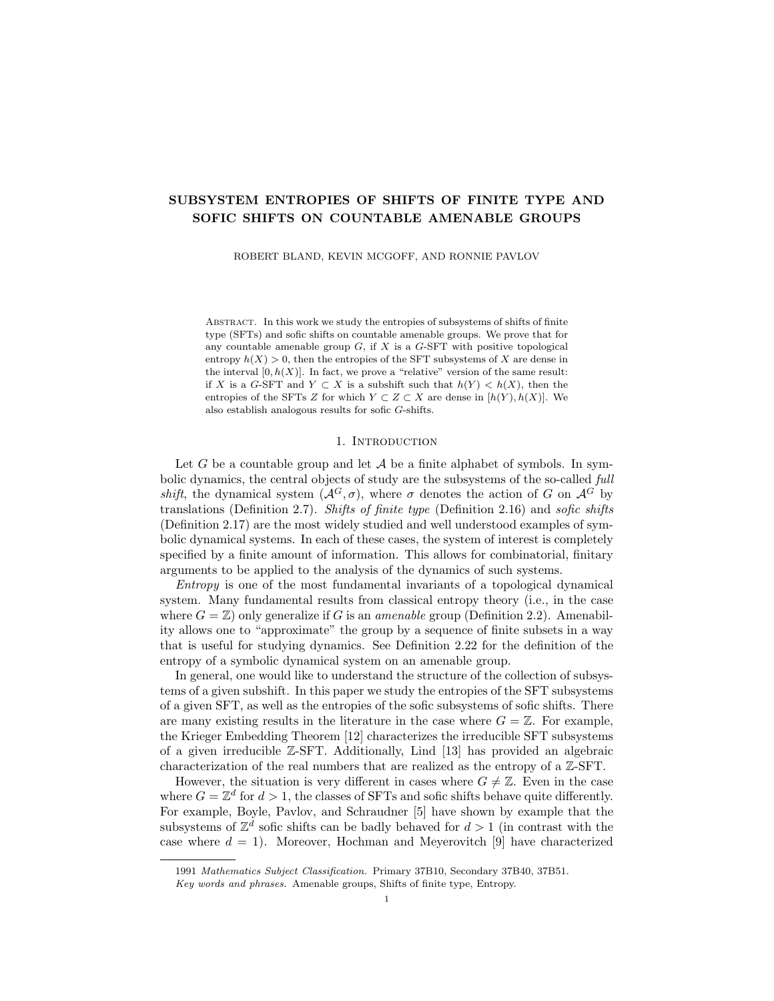the real numbers that are realized as entropy of a  $\mathbb{Z}^d$ -SFT (with  $d > 1$ ), but in contrast to the result of Lind mentioned above, the characterization is in algorithmic terms and unavoidably involves concepts from computability and recursion theory. Nonetheless, Desai [6] has shown that a  $\mathbb{Z}^d$ -SFT with positive entropy has a wealth of SFT subsystems (sharpening an earlier result of Quas and Trow [16]).

**Theorem 1.1** ([6]). Let  $G = \mathbb{Z}^d$  for some  $d \in \mathbb{N}$  and let X be a G-SFT such that  $h(X) > 0$ . Then

$$
h(Y) : Y \subset X \text{ and } Y \text{ is an SFT}
$$

is dense in  $[0, h(X)]$ .

In recent years, several results of the  $G = \mathbb{Z}$  and  $G = \mathbb{Z}^d$  cases have seen extensions to larger classes of groups, especially amenable groups. To name a few: Barbieri [2] has classified the real numbers that are realized as the entropy of a G-SFT for many types of amenable  $G$  (extending the result of Hochman and Meyerovitch mentioned above); Frisch and Tamuz [8] have investigated the (topologically) generic properties of G-subshifts for arbitrary amenable  $G$ ; Barbieri and Sablik [3] have shown how an arbitrary effective  $G$ -subshift, where  $G$  is finitely generated, may be simulated by a  $G^{\ell}$ -SFT, where  $G^{\ell}$  is the semidirect product  $G^{\ell} = \mathbb{Z}^2 \rtimes G$ ; and Huczek and Kopacz [10] have (very recently) obtained a partial generalization of Boyle's lower entropy factor Theorem [4] to countable amenable groups with the comparison property. In this vein, we prove the following generalization of Theorem 1.1 to arbitrary countable amenable groups.

**Theorem 4.2.** Let G be a countable amenable group, let X be a  $G$ -SFT, and let  $Y \subset X$  be any subsystem such that  $h(Y) < h(X)$ . Then

$$
h(Z): Y \subset Z \subset X
$$
 and Z is an SFT

is dense in  $[h(Y), h(X)].$ 

Choosing  $G = \mathbb{Z}^d$  and  $Y = \emptyset$  in the above theorem recovers the result of Desai (Theorem 1.1 above). Note that a shift space  $X \subset \mathcal{A}^G$  has at most countably many SFT subsystems, and therefore the set of entropies of SFT subsystems is at most countable. In this sense, Theorem 4.2 is "the most one could hope for."

Remark 1.2. After a preprint of this work was made public, the authors of [8] made us aware that a short alternate proof of Theorem 4.2 can be derived from their main results. Specifically, they prove there that for any countable amenable group G and any real  $c \geq 0$ , the set of G-subshifts with entropy c is dense (in fact residual) within the space of  $G$ -subshifts with entropy at least  $c$  with respect to the Hausdorff topology. This result immediately implies that for any  $G$ -SFT  $X$ , there exist G-subshifts contained in X that achieve all possible entropies in  $[0, h(X)]$ ; then, some simple approximations with G-SFTs (in the sense of our Theorem 2.27) can be used to obtain a proof of Theorem 4.2.

For sofic shifts, we obtain the following result.

**Theorem 5.2.** Let G be a countable amenable group, let W be a sofic  $G$ -shift, and let  $V \subset W$  be any subsystem such that  $h(V) < h(W)$ . Then

$$
h(U): V \subset U \subset W \text{ and } U \text{ is softc}
$$

is dense in  $[h(V), h(W)].$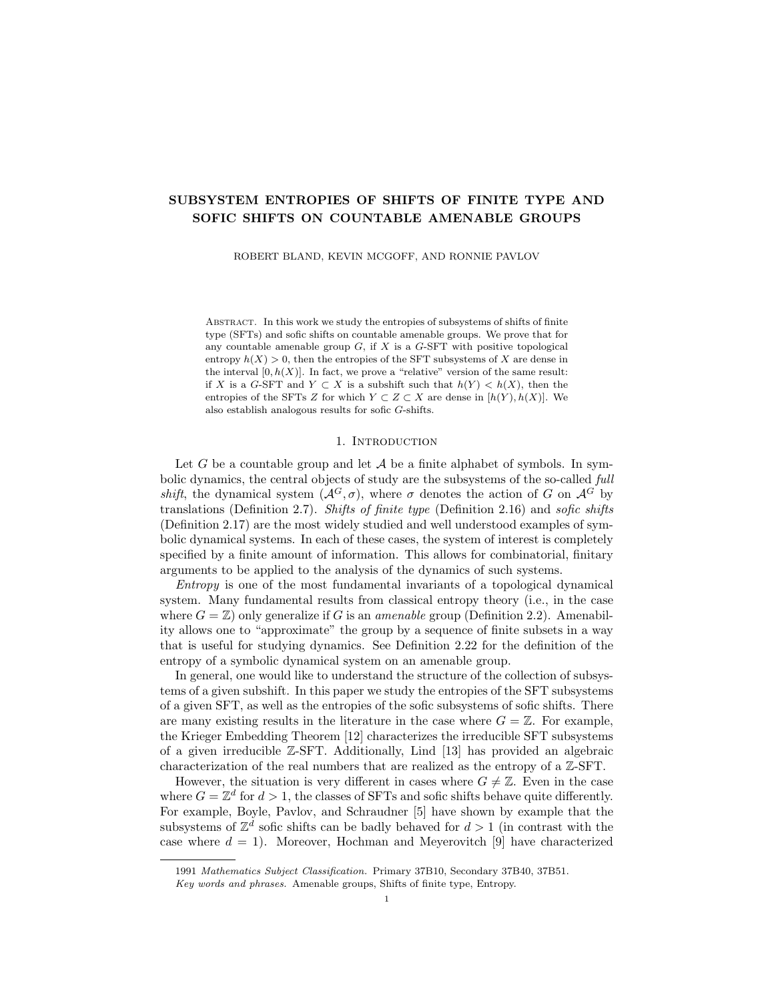From this result, we can quickly derive the fact (Corollary 5.3) that if  $X$  is a sofic G-shift, then each real number in  $[0, h(X)]$  can be realized as the entropy of some (not necessarily sofic) subsystem of  $X$ . (Recall that the alternate proof of Theorem 4.2 described in Remark 1.2 above relies on a version of this result requiring  $X$  to be an SFT.) The tool for proving Theorem 5.2 (from Theorem 4.2) is provided by the following theorem, which may be of independent interest. We note that this result generalizes another theorem of Desai [6, Proposition 4.3], which addressed the case  $G = \mathbb{Z}^d$ .

**Theorem 5.1.** Let  $G$  be a countable amenable group and let  $W$  be a sofic  $G$ -shift. For every  $\varepsilon > 0$ , there exists an SFT  $\tilde{X}$  and a one-block code  $\tilde{\phi} : \tilde{X} \to W$  such that the maximal entropy gap of  $\tilde{\phi}$  satisfies  $\mathcal{H}(\tilde{\phi}) < \varepsilon$ .

The maximal entropy gap  $\mathcal{H}(\tilde{\phi})$  is defined in §2 (Definition 2.28). In particular, this result implies that if Y is sofic and  $\varepsilon > 0$ , then there is an SFT X that factors onto Y and satisfies  $h(X) < h(Y) + \varepsilon$ .

Our proofs of Theorems 4.2, 5.1, and 5.2 take the same general approach as the arguments given by Desai for the  $G = \mathbb{Z}^d$  case. However, the extension to the general amenable setting requires substantial new techniques. Indeed, our proofs are made possible by the existence of exact tilings (Definition 3.1) of the group G that possess nice dynamical properties. Such exact tilings are trivial to find for  $\mathbb{Z}^d$  (by tiling the group using large hypercubes), but for arbitrary amenable groups were only recently constructed by Downarowicz, Huczek, and Zhang [7]; their construction is the main technical tool employed in this paper.

As mentioned in Remark 1.2 above, Theorem 4.2 can be alternately derived from results in [8]. We present a self-contained proof here for two reasons. Firstly, we would like to present a direct adaptation of the techniques from [6], since it demonstrates the power of the improved tiling results of [7]. Secondly, this presentation provides a unified approach to all of our proofs, since our proofs in the sofic setting (where we are not aware of alternative proofs) also rely on tiling-based constructions that are similar to those in our proof of Theorem 4.2.

The paper is organized as follows. In §2 we discuss basic notions and elementary theorems of symbolic dynamics, set in terms appropriate for countable amenable groups. In §3 we define and explore the concept of tilings and exact tilings of amenable groups, appealing to Downarowicz, Huczek, and Zhang for the existence of certain desirable tilings. In §4 we prove our main results for G-SFTs, and in §5 we prove our main results for sofic G-shifts. Finally, in §6 we provide a example of a  $\mathbb{Z}^2$  sofic shift whose only SFT subsystem is a fixed point.

# 2. Basics of symbolic dynamics

2.1. Amenable groups. We begin with a brief overview of amenable groups.

**Definition 2.1** (Group theory notations). Let G be a group and let K,  $F \subset G$  be subsets. We employ the following notations.

- i. The group identity is denoted by the symbol  $e \in G$ ,
- ii.  $KF = \{kf : k \in K \text{ and } f \in F\},\$
- iii.  $K^{-1} = \{k^{-1} : k \in K\},\$
- iv.  $Kg = \{ kg : k \in K \}$  for each  $g \in G$ ,
- v.  $K \sqcup F$  expresses that K and F are disjoint, and is their *(disjoint)* union,
- vi.  $K \Delta F = (K \setminus F) \sqcup (F \setminus K)$  is the *symmetric difference* of K and F, and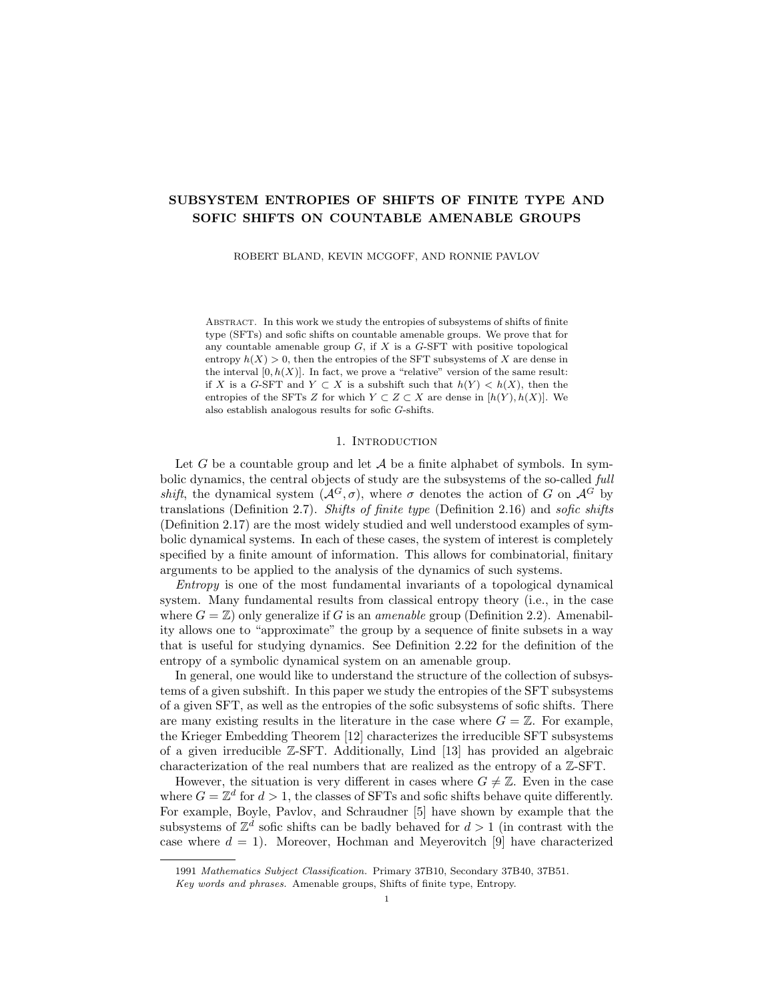vii.  $|K|$  is the *cardinality* of the (finite) set K.

**Definition 2.2** (Følner condition for amenability). Let G be a countable group. A Følner sequence is a sequence  $(F_n)_n$  of finite subsets  $F_n \subset G$  which exhausts G (in the sense that for each  $g \in G$ , we have  $g \in F_n$  for all sufficiently large n) and for which it holds that

$$
\lim_{n \to \infty} \frac{|KF_n \triangle F_n|}{|F_n|} = 0
$$

for every finite subset  $K \subset G$ . If such a sequence exists, then G is said to be an amenable group.

Throughout this paper, G denotes a fixed countably infinite amenable group and  $(F_n)_n$  is a fixed Følner sequence for G.

**Definition 2.3** (Invariance). Let K,  $F \subset G$  be finite subsets, and let  $\varepsilon > 0$ . We say F is  $(K, \varepsilon)$ -invariant if

$$
\frac{|KF\triangle F|}{|F|} < \varepsilon.
$$

If  $e \in K$  and F is  $(K, \varepsilon)$ -invariant, then F is also  $(K^0, \varepsilon^0)$ -invariant for any  $\varepsilon^0 > \varepsilon$ and any  $K^0 \subset K$  such that  $e \in K^0$ . If F is  $(K, \varepsilon)$ -invariant, then so is the translate Fg for each fixed  $g \in G$ . Invariance is the primary way by which we say a large finite subset  $F \subset G$  is a "good finite approximation" of G, according to the finitary quantifiers K and  $\varepsilon$ . The amenability of G provides a wealth of nearly invariant sets, which enables such approximation for the purpose of studying the dynamics of G-actions.

Next we develop concepts related to the geometry of finite subsets of G.

**Definition 2.4** (Boundary and interior). Let  $K, F \subset G$  be finite subsets. The K-boundary of  $F$  is the set

$$
\partial_K F = \{ f \in F : Kf \not\subset F \},\
$$

and the  $K\text{-}interior$  of  $F$  is the set

$$
\operatorname{int}_K F = \{ f \in F : Kf \subset F \}.
$$

Observe that  $F = (\partial_K F) \sqcup (\text{int}_K F)$ .

If  $F$  is sufficiently invariant with respect to  $K$ , then the  $K$ -boundary of  $F$  is a small subset of  $F$  (proportionally), by the following lemma.

**Lemma 2.5.** Suppose K,  $F \subset G$  are nonempty finite subsets and  $e \in K$ . Then

$$
\frac{1}{|K|}|KF\triangle F| \le |\partial_K F| \le |K||KF\triangle F|.
$$

In particular, if F is  $(K, \varepsilon)$ -invariant then  $|\partial_K F| < \varepsilon |K||F|$ .

*Proof.* If  $e \in K$ , then  $KF \triangle F = KF \setminus F$ . If  $g \in KF \setminus F$ , then  $g = kf$  for some  $k \in K$  and  $f \in \partial_K F$ , by Definition 2.4. Therefore  $KF \setminus F \subset K \partial_K F$ , in which case  $|KF \setminus F| \leq |K| |\partial_K F|.$ 

For the second inequality, note that  $f \in \partial_K F$  implies  $\exists k \in K$  such that  $kf \notin F$ , therefore  $g = kf \in KF \setminus F$  is a point such that  $f \in K^{-1}g \subset K^{-1}(KF \setminus F)$ . Consequently  $\partial_K F \subset K^{-1}(KF \setminus F)$ , in which case  $|\partial_K F| \leq |K||KF \setminus F|$ .

Finally if F is  $(K, \varepsilon)$ -invariant, then  $|\partial_K F| \leq |K||KF \setminus F| < \varepsilon |K||F|$ .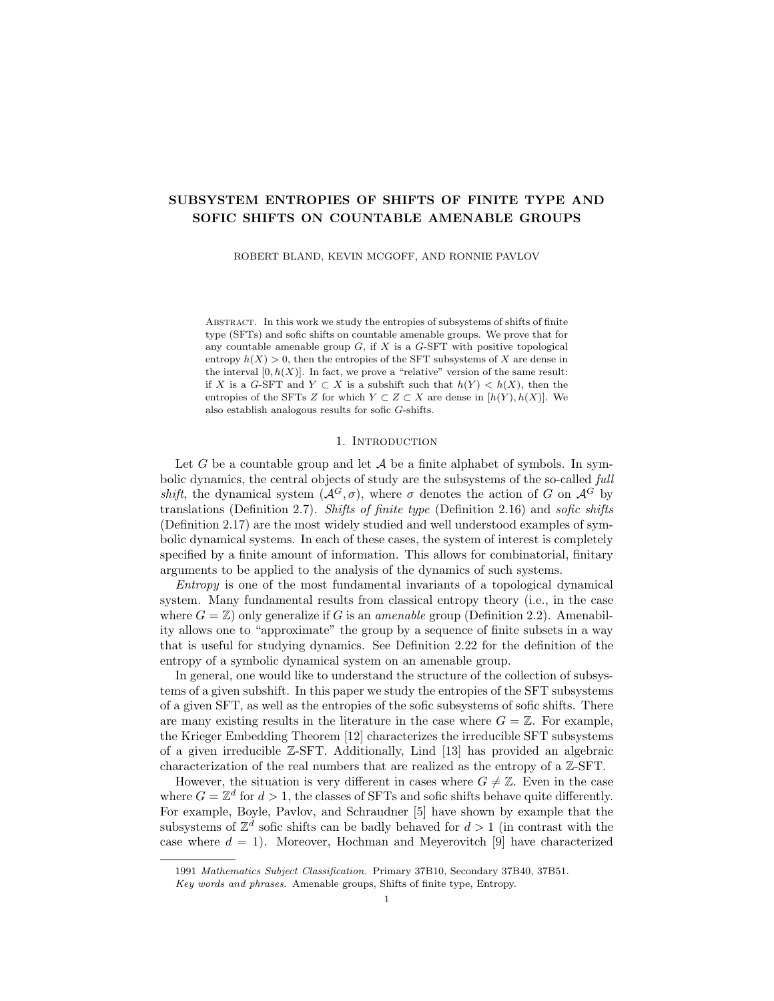Given finite subsets  $K, F \subset G$ , in this paper we focus on the  $KK^{-1}$ -boundary and  $KK$ <sup>1</sup>-interior of F (rather than the K-boundary and K-interior), and we make use of the following lemma.

**Lemma 2.6.** Let K,  $F \subset G$ . For any translate Kg of K (for any  $g \in G$ ), either  $Kg \subset F$  or  $Kg \subset \text{int}_{KK}$  i  $F^c$  (or both are true).

*Proof.* Suppose  $Kg \nsubseteq \text{int}_{KK} \nsubseteq F^c$ . Then  $\exists f \in \text{int}_{KK} \nsubseteq F$  such that  $f \in Kg$ , which implies  $g \in K^{-1}f$  and hence  $Kg \subset KK^{-1}f \subset F$ .

2.2. Shift spaces. Here we present necessary definitions from symbolic dynamics. See Lind and Marcus [14] for an introductory treatment of these concepts.

**Definition 2.7** (Shifts and subshifts). Let  $A$  be a finite set of symbols equipped with the discrete topology. A function  $x : G \to A$  is called an A-labelling of G. By convention, we write  $x_q$  for the symbol  $x(q) \in \mathcal{A}$  which is placed by x at  $q \in G$ . The set of all A-labellings of G is denoted  $A^G$ , which we equip with the product topology. For each  $g \in G$ , let  $\sigma^g : \mathcal{A}^G \to \mathcal{A}^G$  denote the map given by

$$
(\sigma^g x)_h = x_{hg} \quad \forall h \in G
$$

for each  $x \in \mathcal{A}^G$ . The collection  $\sigma = (\sigma^g)_{g \circ G}$  is an action of G on  $\mathcal{A}^G$  by homeomorphisms. The pair  $(A^G, \sigma)$  is a dynamical system called the *full shift* over the alphabet A. A subset  $X \subset \mathcal{A}^G$  is called *shift-invariant* if  $\sigma^g x \in X$  for each  $x \in X$ and  $g \in G$ . A closed, shift-invariant subset  $X \subset \mathcal{A}^G$  is called a *subshift* or a *shift* space. For a given  $x \in \mathcal{A}^G$ , the *orbit* of x is the subset  $\mathcal{O}(x) = \{\sigma^g x : g \in G\} \subset \mathcal{A}^G$ . The subshift *generated by x* is the topological closure of  $\mathcal{O}(x)$  as a subset of  $\mathcal{A}^G$ , and is denoted  $\overline{\mathcal{O}}(x) \subset \mathcal{A}^G$ .

**Definition 2.8** (Codes and factors). Let  $\mathcal{A}_X$ ,  $\mathcal{A}_W$  be finite alphabets and let  $X \subset \mathcal{A}_{X}^G$  and  $W \subset \mathcal{A}_{W}^G$  be subshifts. A map  $\phi: X \to W$  is shift-commuting if  $\phi \circ \sigma^g = \sigma^g \circ \phi$  for each  $g \in G$ ; the map  $\phi$  is said to be a *sliding block code* if it is continuous and shift-commuting; and  $\phi$  is said to be a *factor map* if it is a surjective sliding block code. If a factor map exists from  $X$  to  $W$ , then  $W$  is said to be a factor of X and X is said to factor onto W. If a sliding block code  $\phi: X \to W$  is invertible and bi-continuous, then  $\phi$  is said to be a *topological conjugacy*, in which case  $X$  and  $W$  are said to be *topologically conjugate*.

**Definition 2.9** (Products of shifts). If A and  $\Sigma$  are finite alphabets, then  $A \times \Sigma$ is also a finite alphabet (of ordered pairs). If  $X \subset \mathcal{A}^G$  and  $T \subset \Sigma^G$  are subshifts, then we view the dynamical direct product  $X \times T$  as a subshift of  $(A \times \Sigma)^G$ , defined by  $(x, t) \in X \times T$  if and only if  $x \in X$  and  $t \in T$ . The shift space  $X \times T$  factors onto both X and T via the projection maps  $\pi_X$  and  $\pi_T$ , given by  $\pi_X(x, t) = x$  and  $\pi_T(x,t) = t$  for each  $(x,t) \in X \times T$ .

Remark 2.10. Definition 2.9 above introduces an abuse of notation, as technically we have  $(x,t) \in \mathcal{A}^G \times \Sigma^G \neq (\mathcal{A} \times \Sigma)^G$ . However, if equipped with the G-action  $\varsigma$ given by  $\zeta^g(x,t) = (\sigma^g x, \sigma^g t)$ , then  $\mathcal{A}^G \times \Sigma^G$  becomes a dynamical system that is topologically conjugate to  $(\mathcal{A} \times \Sigma)^G$ .

2.3. Patterns. In this section we describe patterns and their related combinatorics.

**Definition 2.11** (Patterns). Let A be a finite alphabet and let  $F \subset G$  be a finite set. A function  $p : F \to A$  is called a pattern, said to be of shape F. The set of all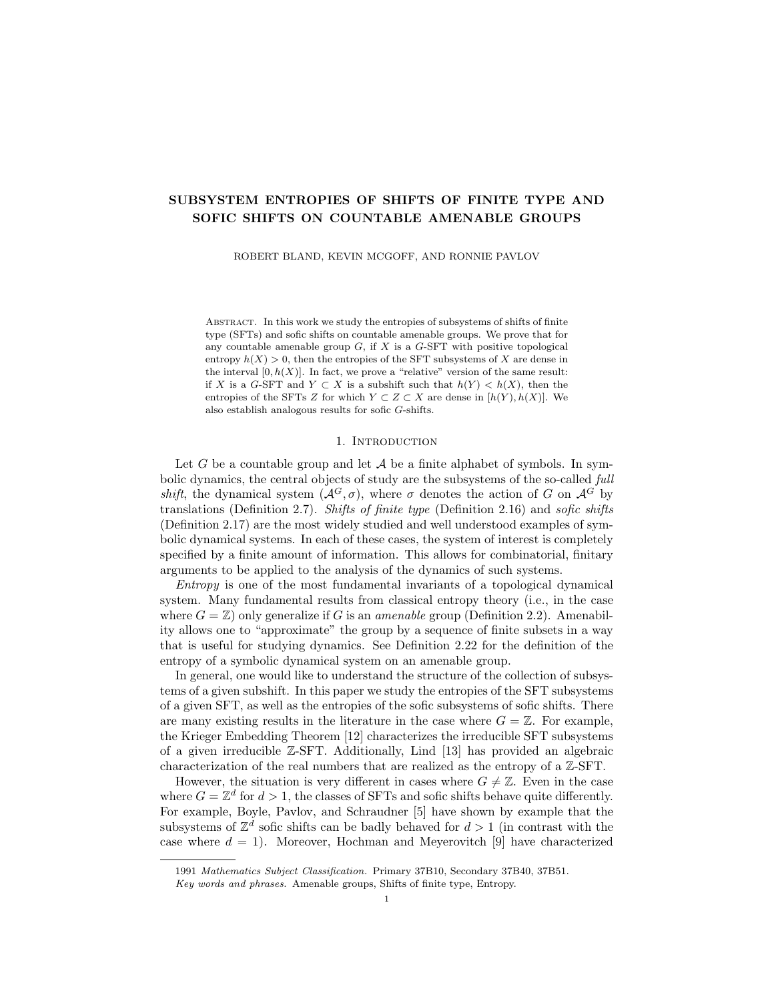patterns of shape F is denoted  $A<sup>F</sup>$ . The set of all patterns of any finite shape is denoted  $\mathcal{A} = \bigcup_{F} \mathcal{A}^{F}$ , where the union is taken over all finite subsets  $F \subset G$ .

Remark 2.12. Given a point  $x \in \mathcal{A}^G$  and a finite subset  $F \subset G$ , we take  $x(F)$  to mean the restriction of  $x$  to  $F$ , which is itself a pattern of shape  $F$ . Usually this is denoted  $x|_F \in \mathcal{A}^F$ , but we raise F from the subscript for readability.

**Definition 2.13** (One-block code). Let  $\mathcal{A}_X$  and  $\mathcal{A}_W$  be finite alphabets and let  $X \subset \mathcal{A}_{X}^G$  and  $W \subset \mathcal{A}_{W}^G$  be subshifts. A factor map  $\phi : X \to W$  is said to be a one-block code if there exists a function  $\Phi : \mathcal{A}_X \to \mathcal{A}_W$  with the property that

$$
\phi(x)_g = \Phi(x_g), \quad \forall g \in G
$$

for each  $x \in X$ .

**Definition 2.14** (Occurrence). Let A be a finite alphabet and let  $F \subset G$  be a finite set. A pattern  $p \in A^F$  is said to *occur* in a point  $x \in A^G$  if there exists an element  $g \in G$  such that  $(\sigma^g x)(F) = p$ . If  $X \subset \mathcal{A}^G$  is a subshift, then the collection of all patterns of shape  $F$  occurring in any point of  $X$  is denoted by

$$
\mathcal{P}(F, X) = \{ (\sigma^g x)(F) \in \mathcal{A}^F : x \in X \text{ and } g \in G \}.
$$

If  $X \subset \mathcal{A}^G$  is a subshift and  $F \subset G$  is a finite subset, then  $|\mathcal{P}(F,X)| \leq |\mathcal{A}|^{jFj}$ . If  $F^{\theta} \subset G$  is another finite subset, then  $|\mathcal{P}(F \cup F^{\theta}, X)| \leq |\mathcal{P}(F, X)| \cdot |\mathcal{P}(F^{\theta}, X)|$ . If  $F^{\theta} \subset F$  and  $X^{\theta} \subset X$ , then  $|\mathcal{P}(F^{\theta}, X^{\theta})| \leq |\mathcal{P}(F, X)|$ .

**Definition 2.15** (Forbidden patterns). Let A be a finite alphabet, let  $F \subset G$  be a finite set and let  $X \subset \mathcal{A}^G$  be a subshift. A pattern  $p \in \mathcal{A}^F$  is said to be allowed in X if  $p \in \mathcal{P}(F, X)$  (if p occurs in at least one point of X).

Given a (finite or infinite) collection of patterns  $\mathcal{F} \subset \mathcal{A}$ , a new subshift  $X^0 \subset X$ may be constructed by expressly *forbidding* the patterns in  $\mathcal F$  from occurring in points of  $X$ . We denote this by

$$
X^{\emptyset} = \mathcal{R}(X, \mathcal{F}) = \{x \in X : \forall p \in \mathcal{F}, \ p \text{ does not occur in } x\}.
$$

For a single pattern p, we abbreviate  $\mathcal{R}(X, \{p\})$  as  $X \setminus p$ . The shift X is said to be specified by the collection F if  $X = \mathcal{R}(\mathcal{A}^G, \mathcal{F})$ .

2.4. Shifts of finite type. In this section, we define shifts of finite type and sofic shifts over G. We also discuss many related elementary facts.

**Definition 2.16** (SFTs). A subshift  $X \subset \mathcal{A}^G$  is a *shift of finite type (SFT)* if there is a finite collection  $\mathcal{F} \subset \mathcal{A}$  such that  $X = \mathcal{R}(\mathcal{A}^G, \mathcal{F})$ . For an SFT, it is always possible to take F in the form  $\mathcal{F} = \mathcal{A}^K \setminus \mathcal{P}(K, X)$  for some large finite subset  $K \subset G$ . In this case, we say X is *specified* by (patterns of shape) K.

If  $X \subset \mathcal{A}^G$  is an SFT specified by a finite subset  $K \subset G$ , then it holds that

$$
x \in X \iff \forall g \in G \quad (\sigma^g x)(K) \in \mathcal{P}(K, X)
$$

for each  $x \in \mathcal{A}^G$ . If K specifies X, then so does  $K^{\theta}$  for any (finite) subset  $K^{\theta} \supset K$ . If X and T are SFTs, then so is the dynamical direct product  $X \times T$ .

**Definition 2.17** (Sofic shifts). A subshift W is sofic if there exists an SFT  $X$ which factors onto W.

The following elementary facts are needed; we abbreviate the proofs as they are similar to the well-known the proofs in the case where  $G = \mathbb{Z}$  (see [14]).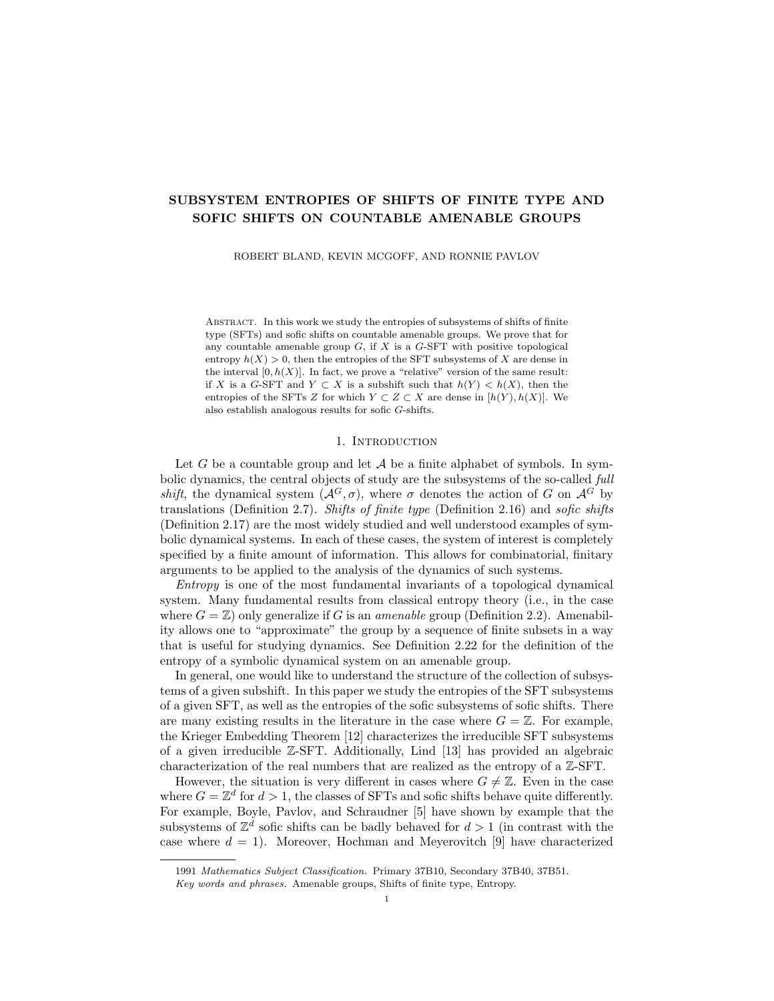**Proposition 2.18.** Let X be an SFT, let W be a sofic shift, and let  $\phi: X \to W$  be a factor map. Then there exists an SFT  $\tilde{X}$  and a topological conjugacy  $\tilde{\phi} : \tilde{X} \to X$ such that the composition  $\phi \circ \tilde{\phi} : \tilde{X} \to W$  is a one-block code.

*Proof.* Because  $\phi$  is continuous and shift-commuting, there exists a large finite subset  $K \subset G$  such that for each  $x, x^{\theta} \in X$  and each  $g \in G$ , it holds that

$$
(\sigma^g x)(K) = (\sigma^g x^{\theta})(K) \implies \phi(x)_g = \phi(x^{\theta})_g.
$$

Suppose that  $e \in K$  and that  $\mathcal{P}(K, X)$  specifies X as an SFT. Let  $\tilde{\mathcal{A}} = \mathcal{P}(K, X)$ be a new finite alphabet, and let  $\tilde{X} \subset \tilde{\mathcal{A}}^G$  be the set of all points  $\tilde{x} \in \tilde{\mathcal{A}}^G$  such that

$$
\exists x \in X, \,\forall g \in G, \,\tilde{x}_g = (\sigma^g x)(K).
$$

Then  $\tilde{X}$  is an SFT specified by patterns of shape  $K^{-1}K$ . The map  $\tilde{\phi}: \tilde{X} \to X$ desired for the theorem is given by

$$
\tilde{\phi}(\tilde{x})_g = (\tilde{x}_g)_e \in \mathcal{A}, \quad \forall g \in G, \forall \tilde{x} \in \tilde{X}.
$$

**Proposition 2.19.** For any subshift  $X \subset \mathcal{A}^G$ , there is a descending family of SFTs  $(X_n)_n$  such that  $X = \bigcap_{n=1}^{\infty} X_n$ .

*Proof.* Let  $(p_n)_n$  enumerate  $\{p \in \mathcal{A} : p \text{ does not occur in } X\}$ , and for each n let

 $X_n = \mathcal{R} \mathcal{A}^G, \{p_1, p_2, \ldots, p_n\}$ .

Then  $(X_n)_n$  witnesses the result.

**Proposition 2.20.** Let  $X \subset \mathcal{A}^G$  be a subshift and let  $X_0 \subset \mathcal{A}^G$  be an SFT such that  $X \subset X_0$ . If  $(X_n)_n$  is any descending family of subshifts such that  $X = \bigcap_n X_n$ , then  $X_n \subset X_0$  for all sufficiently large n.

*Proof.* Take  $K \subset G$  to specify  $X_0$  as an SFT. Note  $\mathcal{P}(K, X_n)$  is a descending family of finite sets, and it is therefore eventually constant. In particular, we have

$$
\mathcal{P}(K, X_n) = \mathcal{P}(K, X) \subset \mathcal{P}(K, X_0)
$$

for all sufficiently large  $n$ .

When  $G = \mathbb{Z}^d$ , SFTs are often reduced via conjugacy to so-called 1-step SFTs, in which the allowed patterns are specified by a d-hypercube of side-length 1. Such SFTs are often desired because they allow for a kind of "surgery" of patterns. If two patterns occur in two different labellings from a 1-step SFT, and yet they agree on their 1-boundaries, then the first may be excised and replaced by the second. This yields a new labelling which also belongs to the 1-step SFT. Although there is no obvious notion of 1-step SFTs when  $G \neq \mathbb{Z}^d$ , we do have the following result which allows for this sort of excision and replacement of patterns.

**Lemma 2.21.** Let  $X \subset \mathcal{A}^G$  be an SFT specified by  $K \subset G$ , let  $F \subset G$  be a finite subset, and let x,  $y \in X$  be two points such that x and y agree on  $\partial_{KK}$  1F. Then the point z, defined by  $z_g = y_g$  if  $g \in F$  and  $z_g = x_g$  if  $g \notin F$ , also belongs to X.

*Proof.* Let  $g \in G$ . By Lemma 2.6, either  $Kg \subset F$  or  $Kg \subset \text{int}_{KK}$  +  $F$ <sup>c</sup>. In the first case, we have  $(\sigma^g z)(K) = (\sigma^g y)(K)$  which is an allowed pattern in X. In the second case, we have  $Kg \subset (F^c) \sqcup (\partial_{KK^{-1}} F)$ . Since x and y agree on  $\partial_{KK^{-1}} F$ , we have  $(\sigma^g z)(K) = (\sigma^g x)(K)$  which is again an allowed pattern in X. In either case,  $(\sigma^g z)(K)$  is allowed in X for every g, hence  $z \in X$ .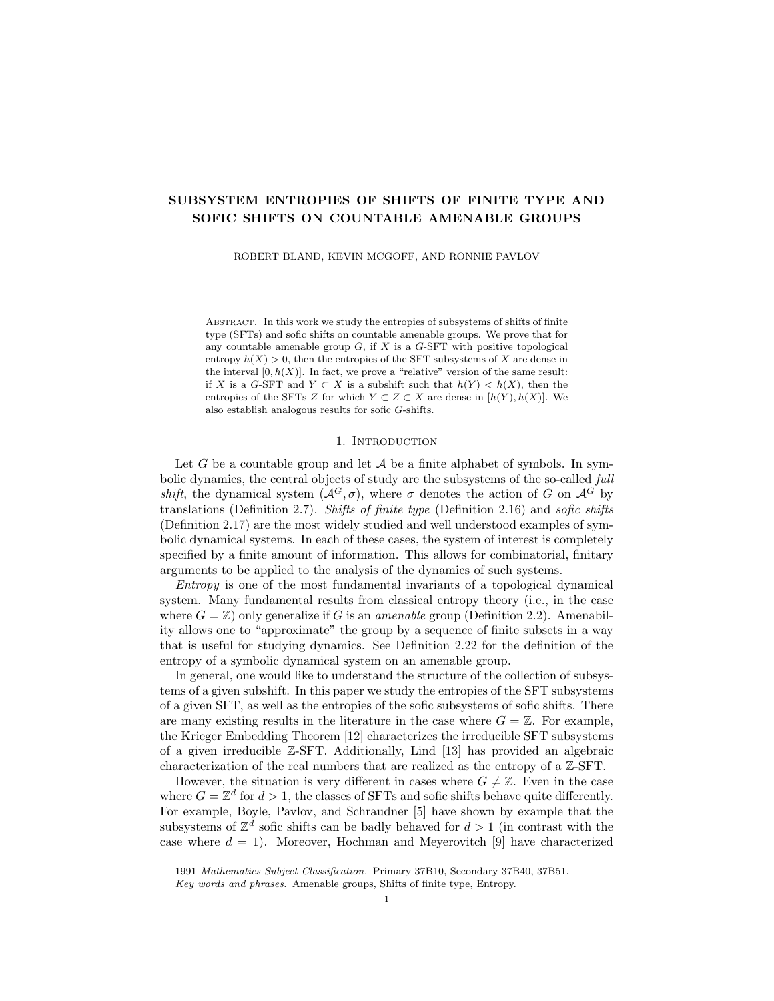2.5. **Entropy.** Let  $X \subset \mathcal{A}^G$  be a nonempty subshift. Recall that for a given large finite set  $F \subset G$ , the number of patterns of shape F that occur in any point of X is  $|\mathcal{P}(F,X)|$ , which is at most  $|\mathcal{A}|^{jF}$ . As this grows exponentially (with respect to  $|F|$ , we are interested in the *exponential growth rate* of  $|\mathcal{P}(F, X)|$  as F becomes very large and approaches the whole group G. For nonempty finite sets  $F \subset G$ , we let

$$
h(F, X) = \frac{1}{|F|} \log |\mathcal{P}(F, X)|.
$$

If F,  $F^{\theta} \subset G$  are disjoint finite subsets, then  $h(F \sqcup F^{\theta}, X) \leq h(F, X) + h(F^{\theta}, X)$ . This is because  $|\mathcal{P}(F \sqcup F^{\theta}, X)| \leq |\mathcal{P}(F, X)| \cdot |\mathcal{P}(F^{\theta}, X)|$  and

$$
\frac{1}{|F \sqcup F^{\theta}|} = \frac{1}{|F| + |F^{\theta}|} \le \min \frac{1}{|F|}, \frac{1}{|F^{\theta}|}.
$$

**Definition 2.22** (Entropy). Let  $X$  be a nonempty subshift. The *(topological)* entropy of X is the nonnegative real number  $h(X)$  given by the limit

$$
h(X) = \lim_{n \to \infty} h(F_n, X),
$$

where  $(F_n)_n$  is again the Følner sequence of G. For the empty subshift, we adopt the convention that  $h(\emptyset) = 0$ .

It is well-known that the limit above exists, does not depend on the choice of Følner sequence for  $G$ , and is an invariant of topological conjugacy (see [11]).

For any subshift  $X \subset \mathcal{A}^G$  and any finite subset  $F \subset G$  it holds that  $h(F, X) \leq$  $\log |\mathcal{A}|$ , and consequently  $h(X) \leq \log |\mathcal{A}|$ . More generally, if X and  $X^{\theta}$  are subshifts such that  $X \subset X^{\theta}$ , then  $h(F, X) \leq h(F, X^{\theta})$  for every finite subset  $F \subset G$  and consequently  $h(X) \leq h(X^{\emptyset})$ . If X and  $X^{\emptyset}$  are subshifts over A, then so is  $X \cup X^{\emptyset}$ and  $h(X \cup X^{\theta}) = \max h(X), h(X^{\theta})$ .

The following proposition is a classical fact; a proof is given in [11].

**Proposition 2.23.** Let  $G$  be a countable amenable group. If a  $G$ -shift  $W$  is a factor of a G-shift X, then  $h(W) \leq h(X)$ .

Frequently in this paper we refer to "measuring" or *approximating* the entropy of a subshift via a large set  $F$ . We give a precise definition as follows.

**Definition 2.24.** Let  $X \subset \mathcal{A}^G$  be a subshift, and let  $\delta > 0$ . A finite subset  $F \subset G$ is said to  $\delta$ -*approximate* the entropy of X if

$$
h(X) - \delta < h(F, X) < h(X) + \delta.
$$

We shall more commonly write  $h(X) < h(F, X) + \delta < h(X) + 2\delta$ .

Infinitely many such sets exist for any  $\delta$ , as provided by the Følner sequence and the definition of  $h(X)$ . We introduce this notion so that we may layer invariance conditions and entropy-approximating conditions as needed.

**Proposition 2.25.** For finitely many choices of i, let  $K_i \subset G$  be any finite subsets, and let  $\varepsilon_i > 0$  be any positive constants. For finitely many choices of j, let  $X_j \subset \mathcal{A}_j^G$ be any subshifts over any finite alphabets, and let  $\delta_i > 0$  be any positive constants. There exists a finite subset  $F \subset G$  which is  $(K_i, \varepsilon_i)$ -invariant for every i, and which  $\delta_i$ -approximates the entropy of  $X_i$  for every j.

*Proof.* Choose  $F = F_n$  for sufficiently large n.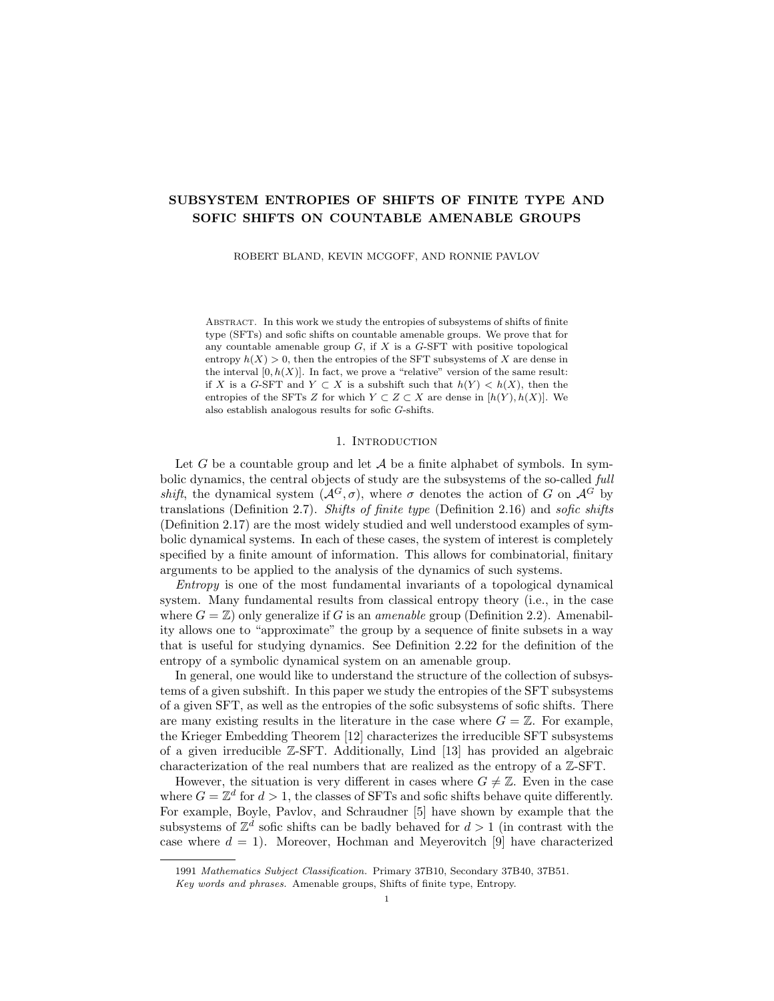The following theorem is an elementary generalization of a classical statement (see [14] for a proof in the case where  $G = \mathbb{Z}$ ). We omit the proof here for brevity.

**Proposition 2.26.** Let  $(X_n)_n$  be a descending family of subshifts, and let  $X =$  $\sum_{n} X_n$ . Then

$$
h(X) = \lim_{n \to \infty} h(X_n).
$$

It is desirable to work with SFTs as much as possible while preserving (or, in our case, approximating) relevant dynamical quantities. We shall make frequent use of the next theorem, which we justify with several of the above results.

**Theorem 2.27.** Let  $X \subset \mathcal{A}^G$  be a subshift and suppose that  $X_0 \subset \mathcal{A}^G$  is an SFT such that  $X \subset X_0$ . For any  $\varepsilon > 0$ , there exists an SFT  $Z \subset \mathcal{A}^G$  such that  $X \subset Z \subset X_0$  and  $h(X) \leq h(Z) < h(X) + \varepsilon$ .

*Proof*<sub>T</sub> By Proposition 2.19, there is a descending family of SFTs  $(X_n)_n$  such that  $X = \binom{n}{n} X_n$ . By Proposition 2.20, we have  $X_n \subset X_0$  for all sufficiently large n. By Proposition 2.26, we have  $h(X) \leq h(X_n) < h(X) + \varepsilon$  for all sufficiently large n. Choose  $Z = X_n$  for n large enough to meet both conditions.

If  $\phi: X \to W$  is a factor map of subshifts, then we have already seen that  $h(W) \leq h(X)$ . The "entropy drop" or entropy gap between X and W is the quantity  $h(X) - h(W)$ . A subsystem  $X^0 \subset X$  induces a corresponding subsystem  $\phi(X^{\hat{0}}) = W^{\hat{0}} \subset W$ , and later in this paper we will want a uniform bound for the entropy gap between every  $X^{\theta}$  and  $W^{\theta}$  pair. We make this idea precise in the following definition.

**Definition 2.28.** Suppose  $\phi: X \to W$  is a factor map. The maximal entropy gap of  $\phi$  is the quantity

$$
\mathcal{H}(\phi) = \sup_{X^0} h(X^0) - h(\phi(X^0)) ,
$$

where the supremum is taken over all subshifts  $X^0 \subset X$ . In particular, it holds that

$$
h(W) \le h(X) \le h(W) + \mathcal{H}(\phi).
$$

Recall that if X and T are subshifts, then the dynamical direct product  $X \times T$ factors onto both X and T via the projection map(s)  $\pi_X(x, t) = x$  and  $\pi_T(x, t) = t$ .

**Proposition 2.29.** Let X and T be shift spaces. The maximal entropy gap of the projection map  $\pi_X : X \times T \to X$  is

$$
\mathcal{H}(\pi_X)=h(T).
$$

*Proof.* It is classically known that  $h(X \times T) = h(X) + h(T)$ , in which case  $h(T) =$  $h(X \times T) - h(X) \leq \mathcal{H}(\pi_X)$ . For the converse inequality, suppose  $Z \subset X \times T$ is any subshift. Note by Definition 2.9 that  $z \in Z$  implies  $z = (z^X, z^T)$ , where  $z^X = \pi_X(z) \in \pi_X(Z) \subset X$  and  $z^T \in T$ . Therefore  $Z \subset \pi_X(Z) \times T$ , in which case it follows that  $h(Z) \leq h(\pi_X(Z)) + h(T)$ . Since Z was arbitrary, we have

$$
h(T) \leq \mathcal{H}(\pi_X) = \sup_Z h(Z) - h(\pi_X(Z)) \leq h(T),
$$

where the supremum is taken over all subshifts  $Z \subset X \times T$ .

A quick corollary is that when  $h(T) = 0$ , we have  $h(Z) = h(\pi_X(Z))$  for any subsystem  $Z \subset X \times T$ .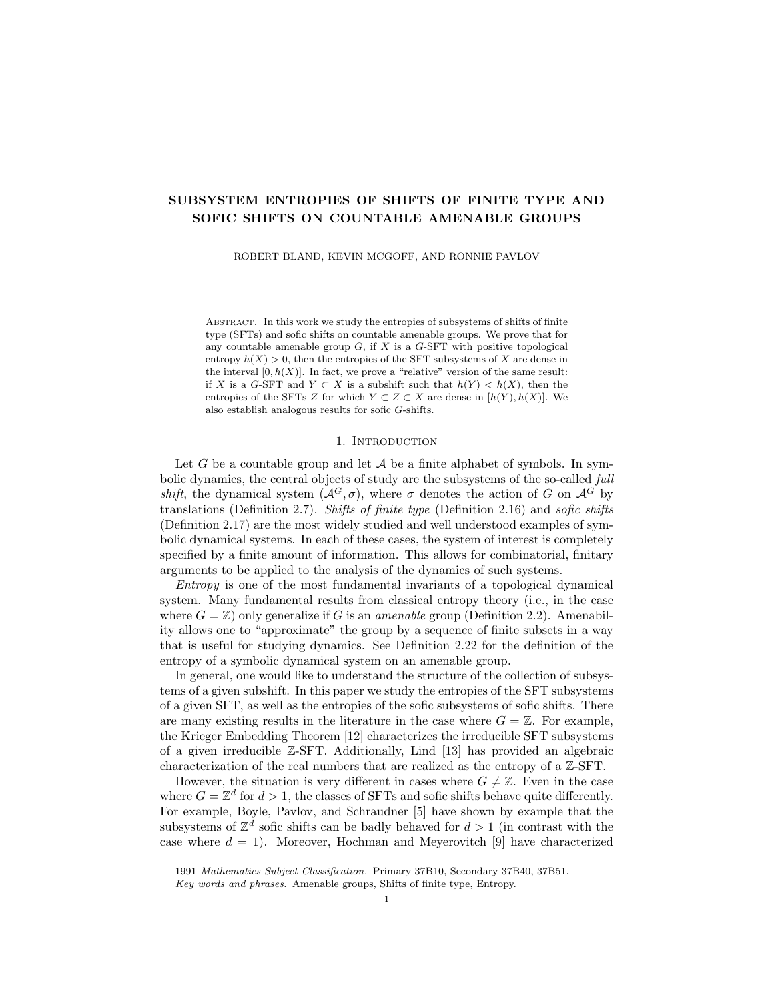### 3. Tilings of amenable groups

3.1. Definition and encoding. In this section we consider the notion of tilings of  $G$ . The existence of tilings of  $G$  with certain properties is essential in our constructions in subsequent sections.

**Definition 3.1** (Quasi-tilings and exact tilings). A quasi-tiling of G is a pair  $(S, C)$ , where S is a finite collection of finite subsets of G (called the *shapes* of the tiling) and C is a function that assigns each shape  $S \in \mathcal{S}$  to a subset  $C(S) \subset G$ , called the set of *centers* or *center-set* attributed to  $S$ . We require that e is in  $S$  for each  $S \in \mathcal{S}$ . The following properties are also required.

- i. For distinct shapes  $S, S^{\theta} \in \mathcal{S}$ , the subsets  $C(S)$  and  $C(S^{\theta})$  are disjoint.
- ii. The shapes in  $S$  are "translate-unique", in the sense that

$$
S \neq S^{\emptyset} \implies Sg \neq S^{\emptyset}, \quad \forall g \in G,
$$

for each  $S, S^{\ell} \in \mathcal{S}$ .

iii. The map  $(S, c) \mapsto Sc \subset G$  defined on the domain  $\{(S, c) : S \in \mathcal{S} \text{ and } c \in C(S)\}\$ is injective.

We may refer to both the pair  $(S, C)$  and the collection

$$
\mathcal{T} = \mathcal{T}(\mathcal{S}, C) = \{ Sc \subset G : S \in \mathcal{S} \text{ and } c \in C(S) \}
$$

as "the quasi-tiling." Each subset  $\tau = S_{\mathcal{E}} \in \mathcal{T}$  is called a tile. For a quasi-tiling  $\mathcal{T}$ , we denote the union of all the tiles by  $\sigma$ . A quasi-tiling  $\tau$  may not necessarily cover G in the sense that  $\mathcal{T} = G$ ; nor is it necessary for any two distinct tiles  $\tau$ ,  $\tau^0 \in \mathcal{T}$  to be disjoint. However, if both of these conditions are met (that is, if  $\mathcal{T}$  is a partition of G), then  $\mathcal T$  is called an exact tiling of G.

Ornstein and Weiss [15] previously constructed quasi-tilings of G with good dynamical properties, and this construction has become a fundamental tool for analyzing the dynamics of G-actions. Downarowicz, Huczek, and Zhang [7] sharpened this construction, showing that a countable amenable group exhibits many exact tilings with good dynamical properties, as we describe below (see Theorem 3.6).

A quasi-tiling  $\mathcal T$  of G may be encoded in symbolic form, allowing for dynamical properties to be attributed to and studied for quasi-tilings. The encoding method presented here differs from the one presented in [7], as we will only require exact tilings in this paper. See Remark 3.4 below for further discussion of the relation between our encoding and the encoding given in [7].

**Definition 3.2** (Encoding). Let S be a finite collection of finite shapes, and let

$$
\Sigma(\mathcal{S}) = \{ (S, s) : s \in S \in \mathcal{S} \},
$$

which we view as a finite alphabet. If  $\mathcal T$  is an exact tiling of G over  $\mathcal S$ , then it corresponds to a unique point  $t \in \Sigma^G$  as follows. For each  $g \in G$ , there is a unique tile  $Sc \in \mathcal{T}$  containing g; let  $s = gc^{-1} \in S$  and set  $t_g = (S, s)$ .

In the above definition, note that  $s$  is the "relative position" of  $g$  in the translate Sc of S. In other words, t labels each element g of G with both the type of shape of the tile containing  $g$  and the relative position of  $g$  within that tile. In particular,  $g \in C(S) \iff t_g = (S, e).$ 

Note that the correspondence  $\mathcal{T} \mapsto t \in \Sigma^G$ , when regarded as a map on the set of all exact tilings of  $G$  over  $S$ , is injective. However, the correspondence is not surjective in general. Let  $\Sigma_E \subset \Sigma^G$  be the set of all encodings of exact tilings of G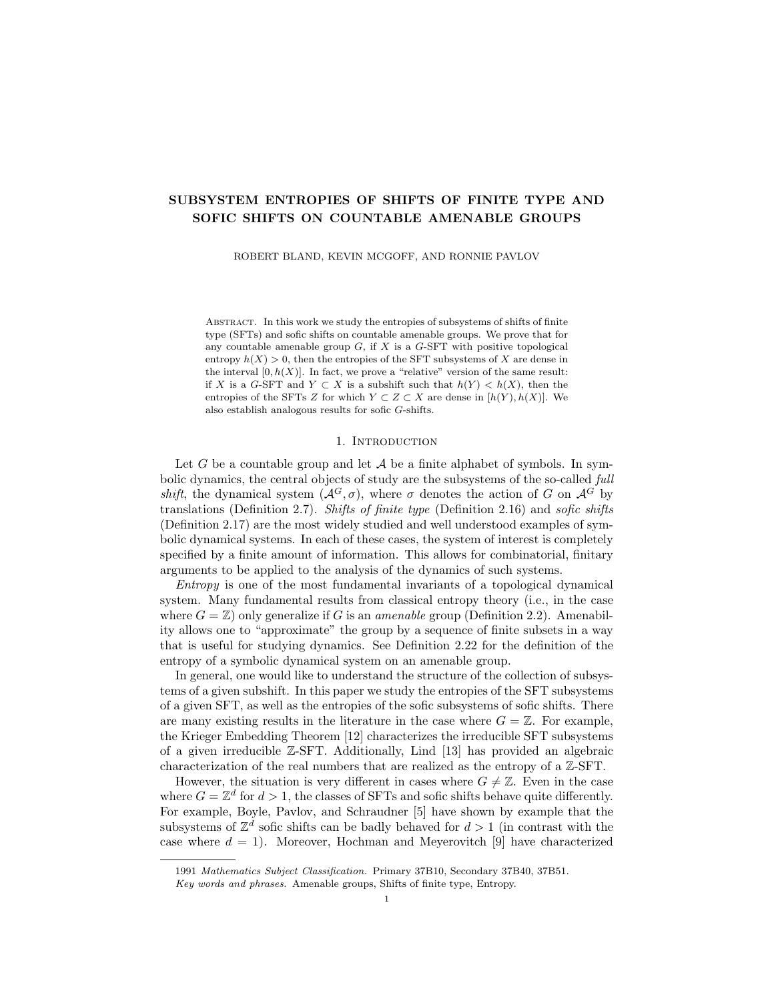over S. It may be the case that no exact tiling of G over S exists, in which case  $\Sigma_E = \emptyset$ . In general, we have the following useful theorem.

**Proposition 3.3.** Let S be a finite collection of finite shapes drawn from  $G$ . Then  $\Sigma_E(\mathcal{S}) \subset \Sigma(\mathcal{S})^G$  is an SFT.

*Proof.* Let  $\Sigma_1$  be the set of all points  $t \in \Sigma^G$  that satisfy the following local rule: for each  $g \in G$ , if  $t_q = (S_0, s_0) \in \Sigma$  then

(R1) 
$$
t_{sc} = (S_0, s), \quad \forall s \in S_0,
$$

where  $c = s_0^{-1}g$ . It is easy to see that  $\Sigma_1$  is an SFT, and from Definition 3.2 it is immediate that  $\Sigma_E \subset \Sigma_1$ .

For the reverse inclusion, let  $t \in \Sigma_1$  be an arbitrary point satisfying the local rule (R1) everywhere. For each  $S \in \mathcal{S}$ , let  $C(S) = \{g \in G : t_q = (S, e)\}\$ . Then  $\mathcal{T} = \mathcal{T}(\mathcal{S}, C)$  is a quasi-tiling. To complete the proof, it suffices to show that  $\mathcal{T}$  is exact and encoded by t, since that would give  $t \in \Sigma_E$  and then  $\Sigma_E(\mathcal{S}) = \Sigma_1$ .

Let  $g \in G$ , suppose  $t_g = (S, s)$ , and let  $c = s^{-1}g$ . By rule (R1) and the fact that  $e \in S$ , we have  $t_c = t_{ec} \in (S, e)$  and therefore  $c \in C(S)$ . Hence,  $g = sc \in Sc \in \mathcal{T}$ . This demonstrates that  $\mathcal{T} = G$ . Next, suppose  $Sc, S^{\theta}c^{\theta} \in \mathcal{T}$  are not disjoint and let  $g \in Sc \cap S^{\ell}c^{\ell}$ . Then  $g = sc = s^{\ell}c^{\ell}$  for some  $s \in S$  and  $s^{\ell} \in S^{\ell}$ . From  $c \in C(S)$ we have  $t_c = (S, e)$ , and by the rule (R1) we have

$$
t_g = t_{sc} = (S, s).
$$

By identical proof we have  $t_g = (S^{\theta}, s^{\theta})$ , from which it follows that  $S = S^{\theta}$  and  $s = s^{\ell}$ . The latter implies that

$$
c = s^{-1}g = s^{\theta-1}g = c^{\theta},
$$

and hence Sc and  $S^{\ell}c^{\ell}$  are the same tile. This demonstrates that  $\mathcal T$  is a partition of  $G$ , and therefore  $\mathcal T$  is an exact tiling of  $G$  over  $S$ . Finally, we note that it is straightforward to check that  $\mathcal T$  is encoded by t, which completes the proof.

Remark 3.4. Before we move on, we note here that the encoding method presented above (Definition 3.2) differs from the one presented in [7]. The encoding method in that work gives symbolic encodings for all quasi-tilings, which is not necessary for our present purposes. Indeed, the encoding in [7] uses the alphabet  $\Lambda = \mathcal{S} \cup \{0\}$ , and a point  $\lambda \in \Lambda^G$  encodes a quasi-tiling  $(S, C)$  when  $\lambda_g = S \iff g \in C(S)$  and  $\lambda_q = 0$  otherwise. This is a prudent encoding method for the study of general quasitilings, as any quasi-tiling may be encoded in this manner. Our encoding method works only for exact tilings, but is well-suited to our purposes. In fact, if one is only interested in exact tilings, then the two encodings are equivalent. Indeed, if  $\Lambda_E \subset \Lambda^G$  is the collection of all encodings of exact tilings of G over S, then there is a topological conjugacy  $\phi : \Sigma_E \to \Lambda_E$  given by  $\phi(t)_g = S \iff t_g = (S, e)$  and  $\phi(t)_g = 0$  otherwise.

Next we turn our attention to the dynamical properties of tilings, as derived from their encodings.

**Definition 3.5** (Dynamical tiling system). Let  $S$  be a finite collection of finite shapes, let  $\mathcal T$  be an exact tiling of G over  $\mathcal S$ , and let  $\mathcal T$  be encoded by the point  $t \in \Sigma_E(\mathcal{S})$ . The *dynamical tiling system* generated by  $\mathcal{T}$  is the subshift generated by t in  $\Sigma^G$ , denoted  $\Sigma_{\mathcal{T}} = \overline{\mathcal{O}}(t) \subset \Sigma_E$ .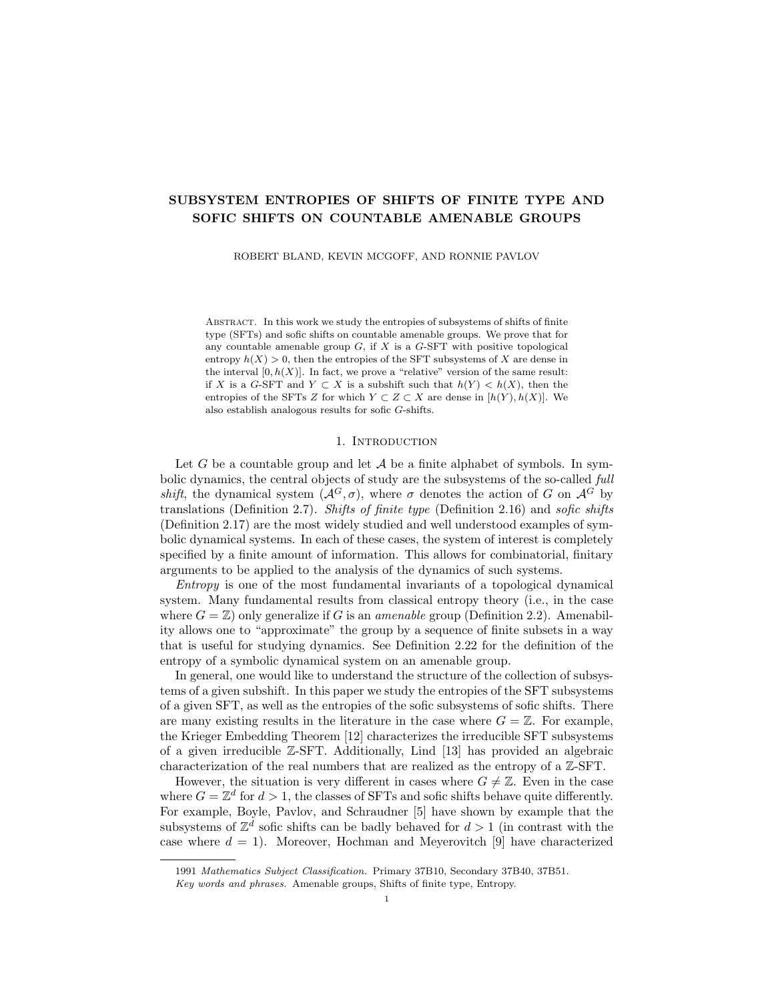This allows for the dynamical properties (e.g., entropy) of  $\Sigma_{\tau}$  as a subshift of  $\Sigma^G$  to be ascribed to T. The *tiling entropy* of T is  $h(\mathcal{T}) = h(\Sigma_{\mathcal{T}})$ , the entropy of  $\Sigma_{\tau}$  as a subshift of  $\Sigma^{G}$ .

The tiling entropy of  $\mathcal T$  is a measure of the "complexity" of tile patterns that occur in large regions of G. In particular, when  $\mathcal T$  has entropy zero, the number of ways to cover a large region  $F \subset G$  by tiles in  $\mathcal T$  grows subexponentially (with respect to  $|F|$ ).

The following theorem is quickly deduced from the main result of Downarowicz, Huczek, and Zhang [7], which we state in this form for convenience. It is this result that allows us to utilize exact tilings of  $G$  in this paper.

**Theorem 3.6** ([7]). Let  $K \subset G$  be a finite subset, and let  $\varepsilon > 0$ . Then there exists a finite collection of finite shapes  $S$  with the following properties.

- i. Each shape  $S \in \mathcal{S}$  is  $(K, \varepsilon)$ -invariant.
- ii.  $K \subset S$  and  $|S| > \varepsilon^{-1}$  for each shape  $S \in S$ .
- iii. There exists a point  $t_0 \in \Sigma_E(\mathcal{S})$  such that  $h(\overline{\mathcal{O}}(t_0)) = 0$ .

The point  $t_0$  encodes an exact tiling  $\mathcal{T}_0$  of G over S with tiling entropy  $h(\mathcal{T}_0) = 0$ .

3.2. Approximating sets with tiles. Entropy and other dynamical properties of G-shifts are well measured by sets with strong invariance properties (the Følner sequence  $F_n$  provides a wealth of such sets). However, we would instead like to utilize an (appropriately selected) exact tiling  $\mathcal T$  for this purpose. In this section, we build good *tile approximations* of sets: finite collections of tiles  $\mathcal{T} \subset \mathcal{T}$  attributed to large, suitably invariant subsets  $F \subset G$  that are good in the sense that the symmetric difference  $F\Delta \subset \mathcal{T}$  is small (as a proportion of  $|F|$ ).

**Definition 3.7** (Tile approximation). Let  $F \subset G$  be a finite subset. An exact tiling  $\mathcal T$  of G induces two finite collections of tiles: the *outer approximation* of F by  $\mathcal T$ , denoted

$$
\mathcal{T} (F) = \{ \tau \in \mathcal{T} : \tau \cap F \neq \varnothing \},\
$$

and the *inner approximation* of  $F$  by  $\mathcal{T}$ , denoted

$$
\mathcal{T}(F) = \{\tau \in \mathcal{T} : \tau \subset F\}.
$$

Denote  $F(T) = \mathcal{T}(F)$  and  $F(T) = \mathcal{T}(F)$ . Observe that  $F \subset F \subset F$ .

**Lemma 3.8.** Let S be a finite collection of shapes from G, and let  $U = \mathcal{S}$ . Let  $\varepsilon > 0$ , and choose  $\delta > 0$  such that  $\delta |U||UU^{-1}| < \varepsilon$ . Let  $F \subset G$  be a finite subset that is  $(UU^{-1}, \delta)$ -invariant. For any exact tiling  $\mathcal T$  of  $G$  over  $\mathcal S$ , the following statements hold:

- i.  $|F(\mathcal{T}) \setminus F(\mathcal{T})| < \varepsilon |F|$ , ii.  $(1 - \varepsilon)|F| < |F(\mathcal{T})| \leq |F|$ , and
- iii.  $|F| \leq |F(\mathcal{T})| < (1+\varepsilon)|F|.$

*Proof.* First, we observe that each tile  $\tau \in \mathcal{T}$  is contained in a translate Ug for some  $g \in G$ ; indeed, we have  $\tau = Sc$  for some  $S \in \mathcal{S}$  and  $c \in C(S) \subset G$ , then  $S \subset U$  implies  $\tau \subset U_c$ . This fact also gives that  $|\tau| \leq |U|$  for every tile  $\tau \in \mathcal{T}$ .

We claim that every tile  $\tau \in \mathcal{T}$  (F)  $\setminus \mathcal{T}$  (F) intersects  $\partial_{UU}$  1F. To establish the claim, we first note that for each such tile  $\tau$  it holds that  $\tau \cap F \neq \emptyset$  and  $\tau \not\subset F$ . So let  $f \in \tau \cap F$ , and note that  $f \in \tau \subset Ug$  for some  $g \in G$ . From  $\tau \not\subset F$  we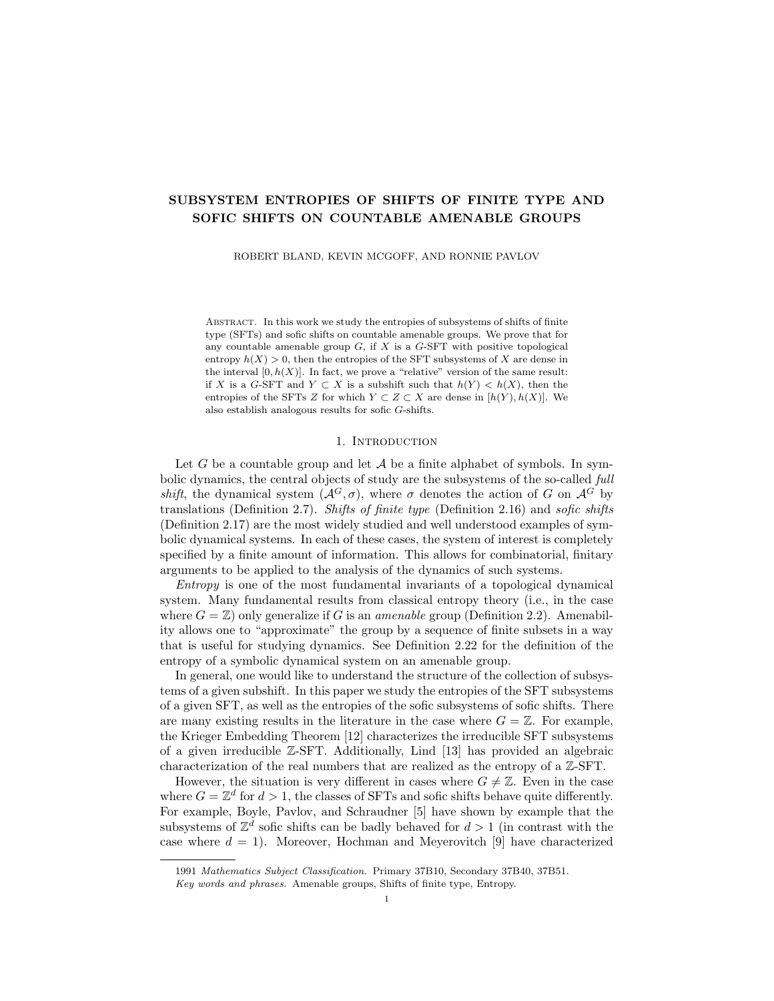also have  $Ug \not\subset F$ . By Lemma 2.6 we have  $f \in Ug \subset \int f_{UU} \cdot F^{-c}$ , and hence  $f \in F \setminus \text{int}_{UU} \text{ }\cdot F = \partial_{UU} \text{ }\cdot F, \text{ which establishes our claim.}$ 

By the claim in the previous paragraph, there is a map  $\gamma : \mathcal{T} \to \partial_{UU} I F$ with the property that  $\gamma(\tau) \in \tau$  for each  $\tau$ . Observe that  $\gamma$  is injective, as distinct tiles are disjoint, and therefore  $|\mathcal{T} \setminus \mathcal{T}| \leq |\partial_{UU} | F|$ . We also have that

$$
|\partial_{UU^{-1}}F| < \delta |UU^{-1}||F|,
$$

by the invariance hypothesis on  $F$  and Lemma 2.5. Then

$$
|F \setminus F| = \frac{|\tau|}{\tau 2T \pi T}
$$
  
\n
$$
\leq |\mathcal{T} \setminus \mathcal{T}| |U|
$$
  
\n
$$
\leq |\partial_{UU} \cdot F| |U|
$$
  
\n
$$
< \delta |U| |UU^{-1}||F|
$$
  
\n
$$
< \varepsilon |F|.
$$

This establishes statement  $(i)$ . The remaining two statements are easy to check using  $F = F \sqcup (F \setminus F), F \subset F \subset F$ , and statement (i.).

One more notion is necessary to develop before moving on from tilings: the frame of a given subset with respect to a given tiling.

**Definition 3.9** (Frame of a tiling). Let F,  $K \subset G$ , and let T be an exact tiling of G. The inner  $(\mathcal{T}, K)$ -frame of F is the subset

$$
\operatorname{fr}_{\mathcal{T},K}(F) = \frac{1}{\tau} \partial_K(\tau),
$$

where the union ranges over all  $\tau \in \mathcal{T}$  (*F*). See Figure 1 for an illustration.

#### 4. Results for SFTs

Having discussed everything about tilings relevant for our purposes, we are now ready to begin discussing our main results. In this section we present our results for SFTs, and in the following section we turn our attention to sofic shifts.

**Theorem 4.1.** Let  $G$  be a countable amenable group, and let  $X$  be a  $G$ -SFT such that  $h(X) > 0$ . Then

$$
\{h(Y) : Y \subset X \text{ and } Y \text{ is an SFT}\}\
$$

is dense in  $[0, h(X)]$ .

Before we begin the proof, let us give a short outline of the main ideas. The broad strokes of this proof come from Desai [6], whose argument in the case where  $G = \mathbb{Z}^d$  we are able to extend to the case where G is an arbitrary countable amenable group. This is possible by utilizing the exact tilings of G constructed by Downarowicz, Huczek and Zhang [7].

Given an arbitrary  $\varepsilon > 0$ , we produce a family of SFT subshifts of X whose entropies are  $2\varepsilon$ -dense in  $[0, h(X)]$ . We accomplish this by first selecting an exact, zero entropy tiling  $\mathcal{T}_0$  of G with suitably large, invariant tiles. Then we build subshifts with strongly controlled entropies inside the product system  $Z_0 = X \times \Sigma_0$ , where  $\Sigma_0$  is the dynamical tiling system generated by  $\mathcal{T}_0$ .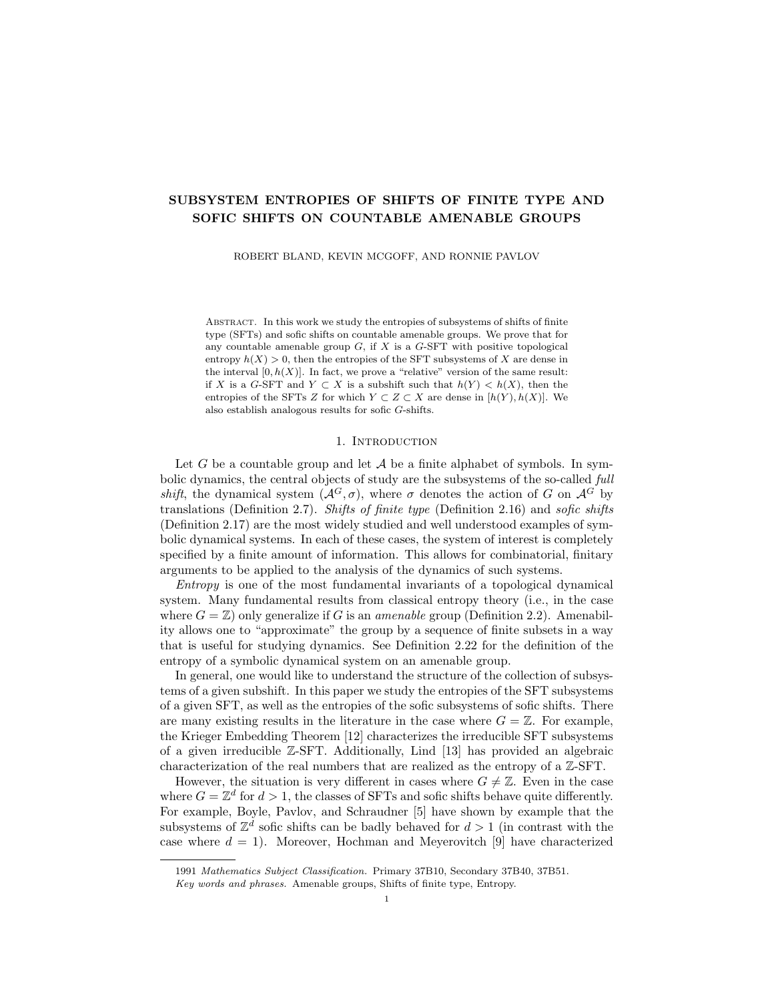

 $(A)$  A hypothetical region  $F$  G with illustrated tiling  $T$ .



(B) The  $T$ -interior of  $F$  is shaded.



(c) The inner frame of F (with respect to  $T$ ,  $K$ ) is shaded. The  $K$ -boundary of each tile inside  $F$  is taken.

FIGURE 1. A sketch of the construction of  $\operatorname{fr}_{\mathcal{T},K}(F)$ 

To construct these subshifts from  $Z_0$ , we control which patterns in the X layer can appear in the "interior" of the tiles in the  $\Sigma_0$  layer. We are able to finely comb away entropy from  $Z_0$  by forbidding these patterns one at a time. This process generates a descending family of subsystems for which the entropy drop between consecutive subshifts is less than  $\varepsilon$ . After enough such patterns have been forbidden, the overall entropy is less than  $\varepsilon$ . This collection of subshifts therefore has entropies that are  $\varepsilon$ -dense in  $[0, h(Z_0)]$ . Then we project the subshifts into X and utilize Theorem 2.27 to produce SFTs subsystems of  $X$  with entropies that are 2 $\varepsilon$ -dense in [0,  $h(X)$ ].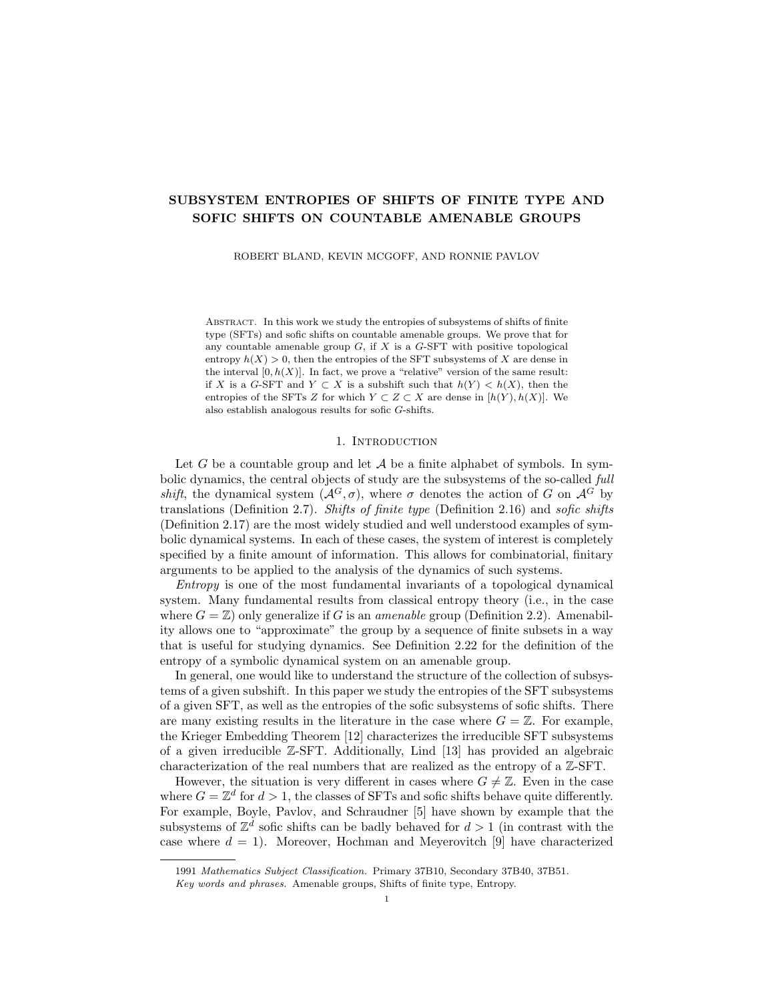*Proof.* Let  $X \subset \mathcal{A}^G$  be an SFT such that  $h(X) > 0$ , let  $K \subset G$  be a large finite subset such that  $\mathcal{P}(K, X)$  specifies X as an SFT, and let  $\varepsilon$  be any constant such that  $0 < \varepsilon < h(X)$ . Choose  $\delta > 0$  such that

$$
2\delta + \delta \log 2 + 2\delta \log |\mathcal{A}| < \varepsilon.
$$

By Theorem 3.6, there exists a finite collection  $\mathcal S$  of finite subsets of G with the following properties.

- i. Each shape  $S \in \mathcal{S}$  is  $(KK^{-1}, \eta)$ -invariant, where  $\eta > 0$  is a constant such that  $\eta|KK^{-1}| < \delta$ . By Lemma 2.5, this implies that  $|\partial_{KK^{-1}}S| < \delta|S|$  for each shape  $S \in \mathcal{S}.$
- ii.  $KK^{-1} \subset S$  and  $|S| > \delta^{-1}$  for each  $S \in S$ .
- iii. There is a point  $t_0 \in \Sigma_E(\mathcal{S})$  such that  $h(\overline{\mathcal{O}}(t_0)) = 0$ . Consequently,  $t_0$  encodes an exact tiling  $\mathcal{T}_0$  of G over S with tiling entropy zero.

For the remainder of this proof, these are all fixed. We shall abbreviate  $\partial F =$  $\partial_{KK}$  1 F for any finite subset  $F \subset G$ . For a pattern p on F, we take  $\partial p$  to mean  $p(\partial F)$  and call this the *border* of p (with respect to KK<sup>1</sup>).

Let  $\Sigma_0 = \overline{\mathcal{O}}(t_0) \subset \Sigma_E$  be the dynamical tiling system generated by the tiling  $\mathcal{T}_0$ , which has entropy zero. Of central importance to this proof is the product system  $X \times \Sigma_0$ , which factors onto X via the projection map  $\pi : X \times \Sigma_0 \to X$  given by  $\pi(x,t) = x$  for each  $(x,t) \in X \times \Sigma_0$ . Let us establish some terminology for certain patterns of interest which occur in this system.

Given a shape  $S \in \mathcal{S}$ , we shall refer to a pattern  $b = (b^X, b^T) \in \mathcal{P}(S, X \times \Sigma_0)$  as a block (to distinguish from patterns of any general shape). If a block  $b \in (\mathcal{A} \times \Sigma)^S$ satisfies  $b_s^{\mathcal{T}} = (S, s)$  for every  $s \in S$ , then we shall say b is *aligned*. See Figure 2 for an illustration of the aligned property.

$$
\mathcal{S} = \{\overline{\langle \overline{\mathcal{S}} \rangle}, \overline{\langle \overline{\mathcal{S}} \rangle}\}
$$
\n
$$
\Sigma = \{\overline{\langle \overline{\mathcal{S}} \rangle}, \overline{\langle \overline{\mathcal{S}} \rangle}, \overline{\langle \overline{\mathcal{S}} \rangle}, \overline{\langle \overline{\mathcal{S}} \rangle}, \overline{\langle \overline{\mathcal{S}} \rangle}, \overline{\langle \overline{\mathcal{S}} \rangle}, \overline{\langle \overline{\mathcal{S}} \rangle}, \overline{\langle \overline{\mathcal{S}} \rangle}\}
$$

FIGURE 2. A hypothetical collection of shapes  $S$ , the appropriate alphabet  $\Sigma = \Sigma(\mathcal{S})$ , and (the T-layer of) two aligned blocks are pictured. Each point of each block is labelled with the correct shape type and relative displacement within that shape.

For a subshift  $Z \subset X \times \Sigma_0$ , we denote the subcollection of aligned blocks of shape  $S$  that occur in  $Z$  by

$$
\mathcal{P}^a(S, Z) \subset \mathcal{P}(S, Z) \subset (\mathcal{A} \times \Sigma)^S,
$$

where the superscript a identifies the subcollection. Given a shape  $S \in \mathcal{S}$  and an aligned block b of shape S, consider the border  $\partial b \in (\mathcal{A} \times \Sigma)^{\partial S}$ . We are interested in the number of ways that the border  $\partial b$  may be extended to all of S - that is, the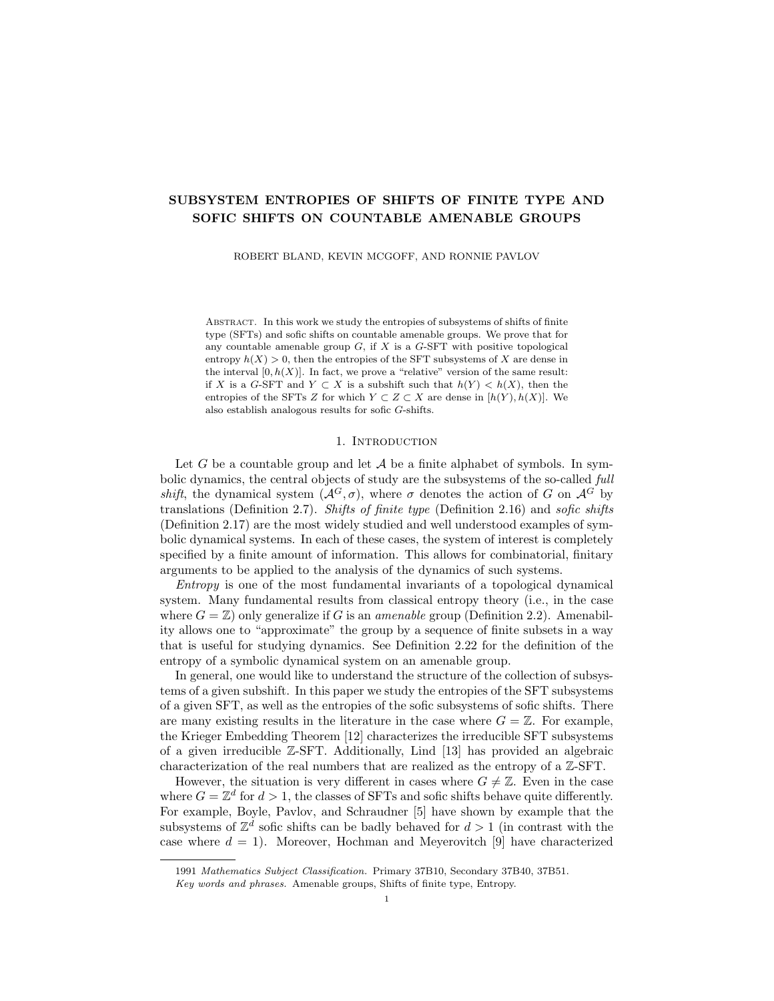number of allowed (and in particular, aligned) *interiors* for S which agree with ∂b on the boundary  $\partial S$ . For a subshift  $Z \subset X \times \Sigma_0$ , we denote this collection by

$$
\mathrm{ints}^a(\partial b, Z) = \{b^{\theta} \in \mathcal{P}^a(S, Z) : \partial b^{\theta} = \partial b\}.
$$

We shall extend all the same terminology described above (blocks, aligned blocks, borders, interiors) to tiles  $\tau = Sc \in \mathcal{T}_0$ , as there is a bijection between  $\mathcal{P}(S, Z)$  and  $\mathcal{P}(\tau, Z) = \mathcal{P}(Sc, Z)$ . For a given tile  $\tau \in \mathcal{T}_0$ , a block  $b \in (\mathcal{A} \times \Sigma)^\tau$  is aligned if  $b_{sc}^{\mathcal{T}} = (S, s)$  for each  $sc \in Sc = \tau$ . The subcollection of aligned blocks of shape  $\tau$ occurring in a shift  $Z \subset X \times \Sigma_0$  is denoted  $\mathcal{P}^a(\tau, Z)$ . Given a border  $\partial b \in (\mathcal{A} \times \Sigma)^{\partial \tau}$ , the collection of aligned blocks of shape  $\tau$  occurring in Z agreeing with ∂b on  $\partial \tau$  is also denoted  $\text{ints}^a(\partial b, Z) \subset \mathcal{P}^a(\tau, Z)$ .

For the theorem, we shall inductively construct a descending family of subshifts  $(Z_n)_n$  of  $X \times \Sigma_0$  as follows. Begin with  $Z_0 = X \times \Sigma_0$ , then assume  $Z_n$  has been constructed for  $n \geq 0$ . If there exists a shape  $S_n \in \mathcal{S}$  and an aligned block  $\beta_n \in$  $\mathcal{P}^a(S_n, Z_n)$  such that

$$
|\operatorname{ints}^a(\partial \beta_n, Z_n)| > 1,
$$

then let  $Z_{n+1} = Z_n \setminus \beta_n$ . If no such block exists on any shape  $S \in \mathcal{S}$ , then  $Z_n$  is the final subshift in the chain and the chain is finite in length.

Let us first argue that in fact, the chain must be finite in length. For each  $n \geq 0$ we have  $Z_{n+1} \subset Z_n$ , in which case  $\mathcal{P}^a(S, Z_{n+1}) \subset \mathcal{P}^a(S, Z_n)$  for every shape  $S \in \mathcal{S}$ . Moreover, for the distinguished shape  $S_n$  (the shape of the forbidden block  $\beta_n$ ), it holds that  $\mathcal{P}^a(S_n, Z_{n+1}) \sqcup \{\beta_n\} \subset \mathcal{P}^a(S_n, Z_n)$ . This implies that

$$
\big|\mathcal{P}^a(S,Z_n)\big|
$$
  
<sub>S2S</sub>

strictly decreases with  $n$ . There is no infinite strictly decreasing sequence of positive integers, hence the descending chain must be finite in length. Let  $N \geq 0$  be the index of the terminal subshift, and note by construction that the shift  $Z_N$  satisfies

$$
|\operatorname{ints}^a(\partial b, Z_N)| = 1
$$

for every aligned block  $b \in \mathcal{P}^a(S, Z_N)$  on any shape  $S \in \mathcal{S}$ .

Most of the rest of the proof aims to establish the following two statements:

$$
(U1) \t\t\t h(Z_{n+1}) \le h(Z_n) < h(Z_{n+1}) + \varepsilon \quad \text{for each } n < N, \text{ and}
$$

$$
(U2) \t\t\t\t\t h(Z_N) < \varepsilon.
$$

To begin, let  $F \subset G$  be a finite subset satisfying the following two conditions:

- (F1) F is  $(UU^{-1}, \vartheta)$ -invariant, where  $U = \sigma^2 \mathcal{S}$  and  $\vartheta$  is a positive constant such that  $\vartheta|U||UU^{-1}| < \delta$ . Note this implies that F may be well approximated by tiles from any exact tiling of G over  $S$ , in the sense of Lemma 3.8.
- (F2) F is large enough to  $\delta$ -approximate (Definition 2.24) the entropy of  $\Sigma_0$  and  $Z_n$  for every  $n \leq N$ . This implies in particular that  $h(F, \Sigma_0) < \delta$ .

Such a set exists by Proposition 2.25. We fix  $F$  for the remainder of this proof. Now for each  $n \leq N$ , we claim that

(E1) 
$$
|\mathcal{P}(F, Z_n)| \ge \bigg| \sum_{t}^{X} \sum_{j=1}^{X} |\text{ints}^a(f(\partial \tau), Z_n)|, \text{ and}
$$

(E2) 
$$
|\mathcal{P}(F, Z_n)| \leq |\mathcal{A}|^{\delta/Fj} \cdot \sum_{t}^{K} \sum_{f}^{K} |\text{ints}^a(f(\partial \tau), Z_n)|,
$$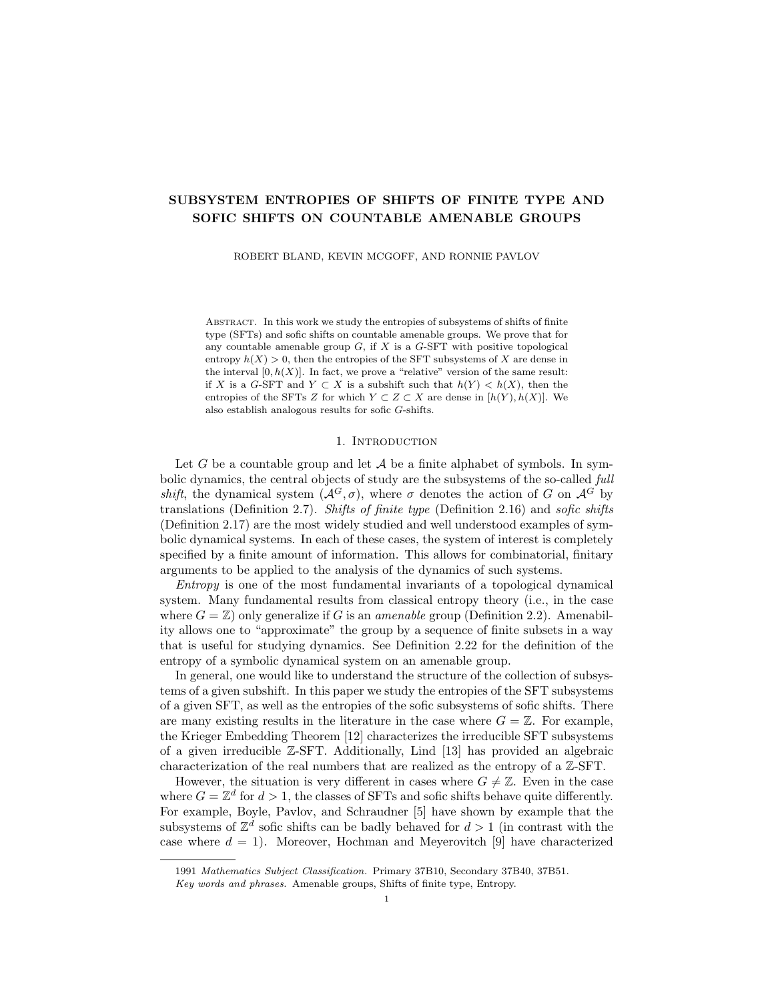where the indices t, f, and  $\tau$  are as follows. The variable t ranges over  $\mathcal{P}(F, \Sigma_0)$ , and therefore t is the restriction to  $F$  of an encoding of an exact, zero entropy tiling  $\mathcal{T}_t$  of G over S. The variable f ranges over all  $(\mathcal{A} \times \Sigma)$ -labellings of the  $(\mathcal{T}_t, KK^{-1})$ frame of F (Definition 3.9) that are allowed in  $Z_0$  and for which  $f<sup>T</sup>$  agrees with t. Lastly, the variable  $\tau$  ranges over the tiles in  $\mathcal{T}_t$  (*F*).

To begin the argument towards the claims (E1) and (E2), let  $n \leq N$  be arbitrary. To count patterns  $p \in \mathcal{P}(F, Z_n)$ , write  $p = (p^X, p^T)$  and sum over all possible labellings in the tiling component. We have

(1) 
$$
|\mathcal{P}(F, Z_n)| = \bigcap_t \{p \in \mathcal{P}(F, Z_n) : p^T = t\},
$$

where the sum ranges over all  $t \in \mathcal{P}(F, \Sigma_0)$ . This is valid because  $Z_n \subset Z_0 = X \times \Sigma_0$ , hence any  $z = (z^X, z^T) \in Z_n$  must have  $z^T \in \Sigma_0$ .

Next, let  $t \in \mathcal{P}(F, \Sigma_0)$  be fixed. The pattern t extends to/encodes an exact, zero entropy tiling  $\mathcal{T}_t$  of G over S, possibly distinct<sup>1</sup> from the original selected tiling  $\mathcal{T}_0$ .

Recall that  $F(\mathcal{T}_t) = \mathcal{T}_t(F) \subset F$  is the inner tile approximation of F by the tiling  $\mathcal{T}_t$  (Definition 3.7). Recall also that the  $(\mathcal{T}_t, KK^{-1})$ -frame of F is the subset S  $\tau \, \partial \tau$  where the union is taken over all  $\tau \in \mathcal{T}_t$  (*F*) (Definition 3.9). Since K is fixed for this proof, we shall abbreviate the frame as  $\operatorname{fr}_t(F)$ . From Equation (1), we now split over all allowed labellings of  $\text{fr}_t(F)$ . We have

(2) 
$$
|\mathcal{P}(F, Z_n)| = \bigcap_{t}^{K} \{p \in \mathcal{P}(F, Z_n) : p^T = t \text{ and } p(\text{fr}_t(F)) = f\}|,
$$

where the first sum is taken over all  $t \in \mathcal{P}(F, \Sigma_0)$ , and the second sum is taken over all  $f \in \mathcal{P}(\text{fr}_t(F), Z_0)$  for which  $f^{\top}$  agrees with t.

We have the pattern  $t \in \mathcal{P}(F, \Sigma_0)$  fixed from before; next we fix a frame pattern  $f \in \mathcal{P}(\mathrm{fr}_t(F), Z_0)$  such that  $f^{\top}$  agrees with t. We wish to count the number of patterns  $p \in \mathcal{P}(F, Z_n)$  such that  $p^T = t$  and  $p(\text{fr}_t(F)) = f$ . Let this collection be denoted by  $D_n = D(t, f; Z_n) \subset \mathcal{P}(F, Z_n)$ . Observe that each  $D_n$  is finite and  $D_{n+1} \subset D_n$  for each  $n < N$ . Consider the map  $\gamma : D_0 \to \mathbb{Z}_r$   $\mathcal{P}(\tau, Z_0)$  given by  $\gamma(p) = (p(\tau))_{\tau}$ , which sends a pattern  $p \in D_0$  to a vector of blocks indexed by  $\mathcal{T}_t$  (*F*). We claim the map  $\gamma$  is at most  $|\mathcal{A}|^{\delta/F}$ -to-1, and for each  $n \leq N$  we have

(3) 
$$
\gamma(D_n) = \int_{\tau}^{\tau} \text{ints}^a(f(\partial \tau), Z_n).
$$

Together, these claims will provide a bound for  $|D_n|$  from above and below, which combine with Equation (2) to yield the claims (E1) and (E2).

First we argue that  $\gamma$  is at most  $|\mathcal{A}|^{\delta/F}$  to-1. This is where we first invoke the invariance of F. Suppose  $(b_{\tau})_{\tau} \in \mathcal{T}_{\tau}$   $\mathcal{P}(\tau, Z_0)$  is a fixed vector of blocks. If  $p \in D_0$ is a pattern such that  $\gamma(p) = (b_{\tau})_{\tau}$ , then  $p^{\tau}$  is determined by t and  $p(\tau) = b_{\tau}$  for each tile  $\tau \in \mathcal{T}_t(F)$ . Therefore, p is uniquely determined by  $p^X(F \setminus F_t)$ , hence  $|\gamma^{-1}(b_{\tau})_{\tau}| \leq |\mathcal{A}|^{F\cap F_t}$ , By property (F1) of the set F and by Lemma 3.8 we have  $|F \setminus F_t| < \delta |F|$ , and thus the map  $\gamma$  is at most  $|\mathcal{A}|^{\delta/F}$ -to-1.

Next, we shall prove the set equality (3). Let  $n \leq N$ , and let  $p \in D_n$ . For each tile  $\tau \in \mathcal{T}_t(F)$ , the block  $p(\tau) \in \mathcal{P}(\tau, Z_n) \subset (\mathcal{A} \times \Sigma)^\tau$  is aligned; this is because  $p^T = t$  and t encodes the tiling  $\mathcal{T}_t$  itself. Moreover, p agrees with f on  $\text{fr}_t(F)$  by

<sup>&</sup>lt;sup>1</sup>As  $\Sigma_0$  is generated by  $\mathcal{T}_0$ , one may take  $\mathcal{T}_t$  to be a translation of  $\mathcal{T}_0$  that agrees with t on F.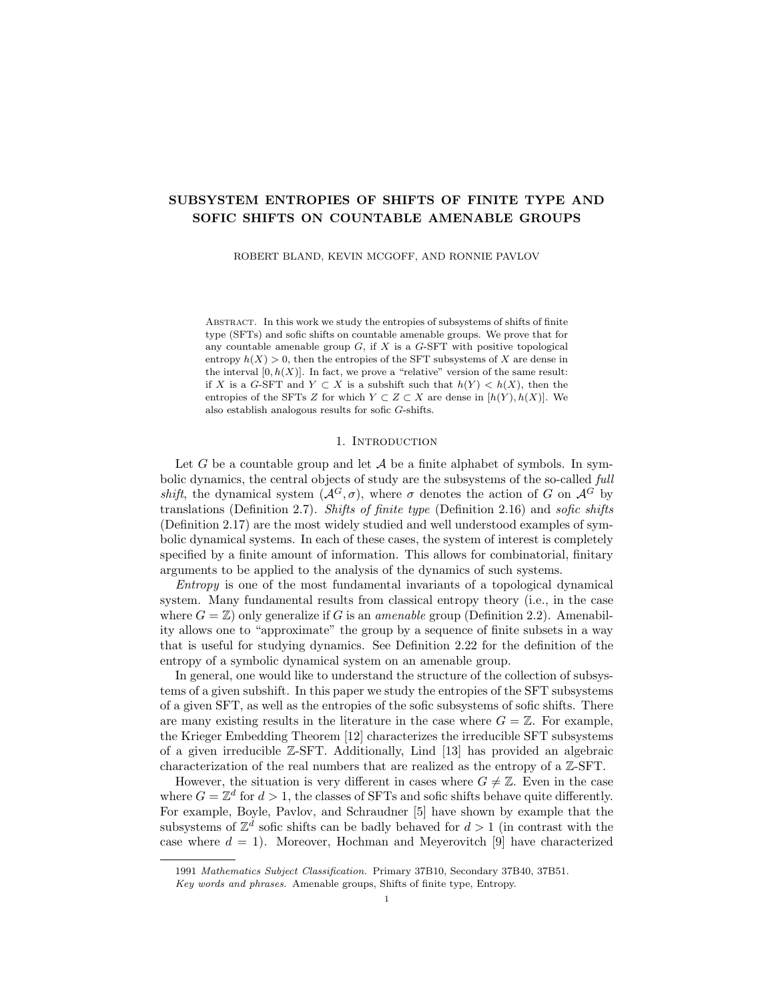assumption that  $p \in D_n = D(t, f; Z_n)$ , in which case  $p(\partial \tau) = f(\partial \tau)$  for each tile  $\tau \in \mathcal{T}_t$  (*F*). This demonstrates that

$$
\gamma(D_n) \subset \int_{\tau}^{\tau} \text{ints}^a(f(\partial \tau), Z_n).
$$

We shall prove the reverse inclusion by induction on n. For the  $n = 0$  case, let  $(b_{\tau})_{\tau}$  be a vector of blocks such that  $b_{\tau} \in \mathcal{P}^{a}(\tau, Z_0)$  and  $\partial b_{\tau} = f(\partial \tau)$  for each  $\tau \in \mathcal{T}_t$  (F). To construct a  $\gamma$ -preimage of  $(b_\tau)_\tau$  in  $D_0$ , begin with a point  $x \in X$ such that  $x(\text{fr}_t(F)) = f^X$ . Such a point exists because f occurs in some point of  $Z_0 = X \times \Sigma_0$ . Note that

$$
x(\partial \tau) = f^X(\partial \tau) = \partial b^X_\tau
$$

for each  $\tau \in \mathcal{T}_t(F)$ , because  $\partial \tau \subset \text{fr}_t(F)$  for each  $\tau$ . Moreover, for each  $\tau$  it holds that the block  $b_\tau^X$  occurs in a point of X, as each block  $b_\tau = (b_\tau^X, b_\tau^Y)$  occurs in a point of  $Z_0 = X \times \Sigma_0$ . Because X is an SFT specified by patterns of shape K, we may repeatedly apply Lemma 2.21 to excise the block  $x(\tau)$  and replace it with  $b_\tau^X$  for every  $\tau \in \mathcal{T}_t$ . Every tile is disjoint, so the order in which the blocks are replaced does not matter. After at most finitely many steps, we obtain a new point  $x^{\theta} \in X$  such that  $x^{\theta}(\text{fr}_{t}(F)) = f^{X}$  and  $x^{\theta}(\tau) = b_{\tau}^{X}$  for each  $\tau \in \mathcal{T}_{t}$ .

Recall that the point  $t \in \Sigma_0$  is fixed from before. The point  $(x^{\ell}, t) \in X \times \Sigma_0$  is therefore allowed in  $Z_0 = X \times \Sigma_0$ . Let  $p = (x^0, t)(F) \in \mathcal{P}(F, Z_0)$ . We have that  $p^T = t$  and  $p(\text{fr}_t(F)) = f$  by the selection of  $x^{\theta}$ . This implies that  $p \in D_0$ . It also holds that  $p(\tau) = b_{\tau}$  for each  $\tau \in \mathcal{T}_t$  (*F*), as t itself encodes the tiling  $\mathcal{T}_t$  from which the tiles  $\tau \in \mathcal{T}_t(F)$  are drawn (and each block  $b_{\tau}$  is aligned, by assumption). We then finally have  $\gamma(p) = (b_\tau)_\tau$ , which settles the case  $n = 0$ .

 $\bigcap$  Now suppose the set equality (3) holds for some fixed  $n < N$ , and let  $(b_{\tau})_{\tau} \in$  $\tau$  ints<sup>a</sup>( $f(\partial \tau)$ ,  $Z_{n+1}$ ). From the inclusion  $Z_{n+1} \subset Z_n$  and the inductive hypothesis, it follows there is a pattern  $p \in D_n$  such that  $\gamma(p) = (b_\tau)_\tau$ . Suppose  $p = (x, t)(F)$  for some  $(x, t) \in Z_n$  (by induction, t is the point fixed from before). We need to modify p only slightly to find a  $\gamma$ -preimage of  $(b_{\tau})_{\tau}$  which occurs in  $Z_{n+1}$  (and hence belongs to  $D_{n+1}$ ).

Consider the block  $\beta_n$  determined at the beginning of this proof, which is forbidden in the subshift  $Z_{n+1}$ . If  $\beta_n$  occurs anywhere in the point  $(x, t)$ , then (by the assumption that  $\beta_n$  is aligned) it must occur on a tile<sup>2</sup>  $\tau \in \mathcal{T}_t$ . It does not occur on any of the tiles from  $\mathcal{T}_t$  (*F*), because for each tile  $\tau \in \mathcal{T}_t$  (*F*) we have  $(x, t)(\tau) = b_{\tau}$ which is allowed in  $Z_{n+1}$  by assumption.

Yet,  $\beta_n$  may occur in  $(x, t)$  outside of  $F_t$ . By the construction of  $Z_{n+1}$ , we have

$$
|\operatorname{ints}^a(\partial \beta_n, Z_n)| > 1,
$$

and therefore there is an aligned block  $\tilde{b}$  which occurs in  $Z_n$  such that  $\tilde{b} \neq \beta_n$ and  $\partial \tilde{b} = \partial \beta_n$ . Apply Lemma 2.21 at most countably many times<sup>3</sup> to excise  $\beta_n^X$ wherever it may occur in x, replacing it with  $\tilde{b}^X$ . This yields a new point  $x^0 \in X$ .

Then  $(x^{\theta}, t) \in Z_0$  also belongs to  $Z_{n+1}$ . It was already the case that none of the blocks  $\beta_0, \ldots, \beta_{n-1}$  could occur anywhere in  $(x, t)$  by the assumption  $(x, t) \in Z_n$ ,

<sup>&</sup>lt;sup>2</sup>This sentence is the reason why we consider the product system  $X \times \Sigma_0$  rather than working in X directly; the extra information on the tiling layer of a labelling  $(x, t)$  allows us to control where an aligned block may occur within  $(x, t)$ .

<sup>&</sup>lt;sup>3</sup>If  $x_k$  is the point constructed after k excisions, then  $(x_k)_k$  is a Cauchy sequence in X and therefore has a limit  $x_1 \in X$ , the desired point with infinitely many excisions applied. The order in which the blocks are replaced does not matter because the tiles are all disjoint.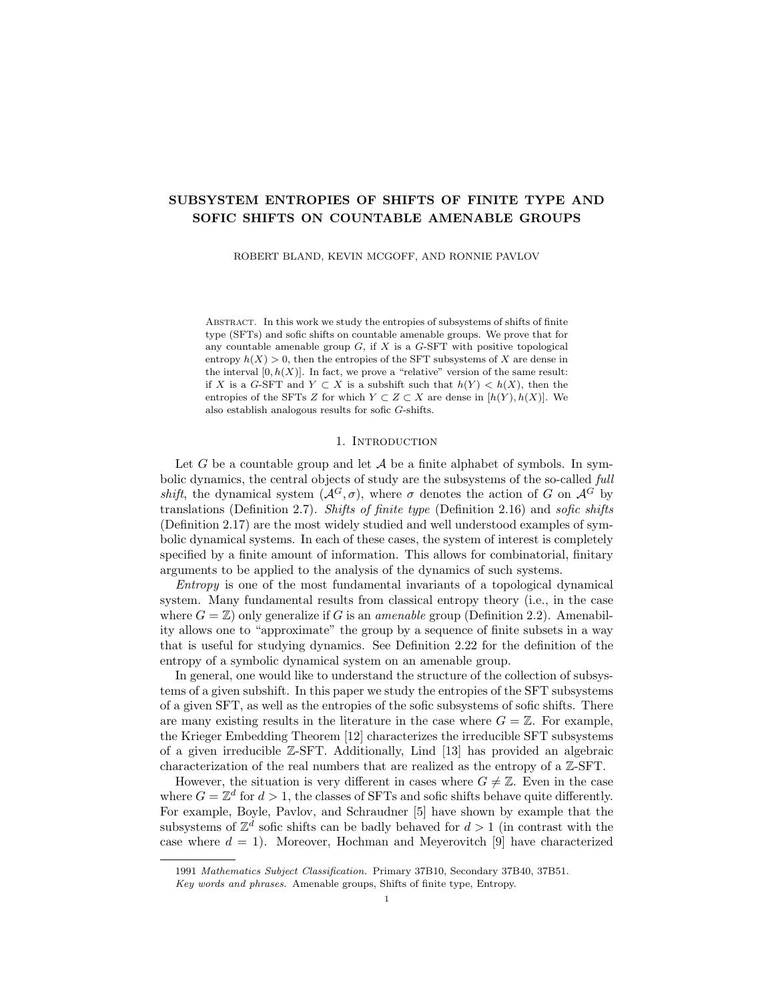and now neither does  $\beta_n$  occur anywhere in  $(x^{\ell}, t)$ . The pattern  $p^{\ell} = (x^{\ell}, t)(F)$ may be distinct from  $p = (x, t)(F)$  (the labelling may change on  $F \setminus F_t$ ), but we did not replace any of the blocks within  $F_t$ . We still have  $p^{\ell}(\tau) = b_{\tau}$  for each tile  $\tau \in \mathcal{T}_t$  (*F*), and hence  $p^{\theta} \in D_{n+1}$  and  $\gamma(p^{\theta}) = (b_{\tau})_{\tau}$ .

This completes the induction, and we conclude that the set equality (3) holds for each  $n \leq N$ . From this equality and the fact that  $\gamma$  is at most  $|\mathcal{A}|^{\delta/F}$ -to-1, we  $obtain$ <sub> $\checkmark$ </sub>

$$
\left|\text{ints}^a(f(\partial \tau), Z_n)| \leq |D(t, f; Z_n)| \leq |\mathcal{A}|^{\delta/Fj} \cdot \int_{\tau}^{\tau} |\text{ints}^a(f(\partial \tau), Z_n)|.
$$

Notice that the above inequalities hold for each fixed  $t \in \mathcal{P}(F, \Sigma_0)$ , each fixed  $f \in \mathcal{P}(\text{fr}_t(F), X \times \Sigma_0)$  such that  $f^{\top} = t(\text{fr}_t(F))$ , and each  $n \leq N$ . From these inequalities and Equation (2), we conclude that (E1) and (E2) hold, i.e.,

(E1) 
$$
|\mathcal{P}(F, Z_n)| \ge \int_{t}^{t} \frac{|\text{ints}^a(f(\partial \tau), Z_n)|}{\int_{t}^{t} \sum_{i=1}^{n} \sum_{i=1}^{n} \sum_{i=1}^{n} \sum_{j=1}^{n} \sum_{i=1}^{n} \sum_{j=1}^{n} \sum_{j=1}^{n} \sum_{j=1}^{n} \sum_{j=1}^{n} \sum_{j=1}^{n} \sum_{j=1}^{n} \sum_{j=1}^{n} \sum_{j=1}^{n} \sum_{j=1}^{n} \sum_{j=1}^{n} \sum_{j=1}^{n} \sum_{j=1}^{n} \sum_{j=1}^{n} \sum_{j=1}^{n} \sum_{j=1}^{n} \sum_{j=1}^{n} \sum_{j=1}^{n} \sum_{j=1}^{n} \sum_{j=1}^{n} \sum_{j=1}^{n} \sum_{j=1}^{n} \sum_{j=1}^{n} \sum_{j=1}^{n} \sum_{j=1}^{n} \sum_{j=1}^{n} \sum_{j=1}^{n} \sum_{j=1}^{n} \sum_{j=1}^{n} \sum_{j=1}^{n} \sum_{j=1}^{n} \sum_{j=1}^{n} \sum_{j=1}^{n} \sum_{j=1}^{n} \sum_{j=1}^{n} \sum_{j=1}^{n} \sum_{j=1}^{n} \sum_{j=1}^{n} \sum_{j=1}^{n} \sum_{j=1}^{n} \sum_{j=1}^{n} \sum_{j=1}^{n} \sum_{j=1}^{n} \sum_{j=1}^{n} \sum_{j=1}^{n} \sum_{j=1}^{n} \sum_{j=1}^{n} \sum_{j=1}^{n} \sum_{j=1}^{n} \sum_{j=1}^{n} \sum_{j=1}^{n} \sum_{j=1}^{n} \sum_{j=1}^{n} \sum_{j=1}^{n} \sum_{j=1}^{n} \sum_{j=1}^{n} \sum_{j=1}^{n} \sum_{j=1}^{n} \sum_{j=1}^{n} \sum_{j=1}^{n} \sum_{j=1}^{n} \sum_{j=1}^{n} \sum_{j=1}^{n} \sum_{j=1}^{n} \sum_{j=1}^{n} \sum_{j=1}^{n} \sum_{j=1}^{n}
$$

(E2) 
$$
|\mathcal{P}(F, Z_n)| \leq |\mathcal{A}|^{\delta/Fj} \cdot \sum_{t}^{\times} \sum_{f}^{\times} |\text{ints}^a(f(\partial \tau), Z_n)|,
$$

where the first sum is taken over all  $t \in \mathcal{P}(F, \Sigma_0)$ , the second sum over all  $f \in$  $\mathcal{P}(\text{fr}_t(F), Z_0)$  for which  $f^{\top}$  agrees with t, and the product over all  $\tau \in \mathcal{T}_t(F)$ .

Property (F2) of the set F implies that  $h(F, \Sigma_0) < \delta$ , in which case  $|\mathcal{P}(F, Z_0)|$  $e^{\delta/Fj}$ . Consequently, the variable t in (E1) and (E2) ranges over fewer than  $e^{\delta/Fj}$ terms. Moreover, by the selection of S, we have  $|\partial \tau| < \delta |\tau|$  for each  $\tau \in \mathcal{T}_t(F)$ , in which case it follows that

$$
|\operatorname{fr}_t(F)| = \begin{array}{cc} \lfloor \beta \tau \rfloor & \text{if } \lambda & \text{if } \lambda \leq \delta \\ \tau & \tau & \tau \end{array} \quad |\partial \tau| < \begin{array}{cc} \lambda & \delta |\tau| = \delta & \text{if } \lambda \leq \delta |F| \\ \tau & \tau > \end{array} \quad |\tau| = \delta |F_t| \leq \delta |F|.
$$

Here we have used that distinct tiles from  $\mathcal{T}_t$  are disjoint. From this estimate, we deduce that there are fewer than  $|\mathcal{A}|^{\delta/Fj}$  labellings of the frame of F that agree with a fixed t on the  $\mathcal{T}$ -layer<sup>4</sup>. Consequently, the variable f in (E1) and (E2) ranges over fewer than  $|\mathcal{A}|^{\delta f}$  terms. Observe also that the size of  $\mathcal{T}_t$  (F) as a collection is small compared to F. Indeed,  $|S| > \delta^{-1}$  for each shape  $S \in \mathcal{S}$ , in which case

$$
|F| \geq |F_t| = \int_{\tau}^{\infty} |\tau| \geq |\mathcal{T}_t(F)| \cdot \min_{S \geq S} |S| > |\mathcal{T}_t(F)| \delta^{-1},
$$

and therefore  $|\mathcal{T}_t(F)| < \delta|F|$ . Consequently, the variable  $\tau$  in (E1) and (E2) ranges over fewer than  $\delta |F|$  terms.

Before returning to (U1) and (U2), one more estimate is necessary. For each  $n < N$ , each shape  $S \in \mathcal{S}$ , and each aligned block  $b \in \mathcal{P}^a(S, Z_n)$ , we claim that

(4) 
$$
|\text{ints}^a(\partial b, Z_n)| \le 2 |\text{ints}^a(\partial b, Z_{n+1})|.
$$

Let  $S \in \mathcal{S}$ , and let  $b \in \mathcal{P}^a(S, Z_n)$  be an aligned block occurring in  $Z_n$ , distinct from the forbidden block  $\beta_n$ . Say  $b = (x, t)(S)$  for some  $(x, t) \in Z_n$ . We claim that b occurs in a point of  $Z_{n+1}$ . Note that t extends to/encodes an exact, zero entropy tiling  $\mathcal{T}_t$  of G over S, and note that S is a tile of  $\mathcal{T}_t$ . This is because b is aligned by assumption, in which case  $t_e = b_e^T = (S, e)$ , and therefore  $e \in C_t(S)$ .

Suppose the forbidden block  $\beta_n$  occurs anywhere in  $(x, t)$ . Because  $\beta_n$  is aligned, it must occur on a tile  $\tau \in \mathcal{T}_t$ . It does not occur on S, because  $b \neq \beta_n$ . By the

<sup>&</sup>lt;sup>4</sup>It is important to specify that the  $\mathcal{T}$ -layer is fixed, else the number is at most  $|\mathcal{A} \times \Sigma|$   $|^{f}$ , which cannot be bounded because  $\delta$  must be selected before  $\Sigma$  is constructed.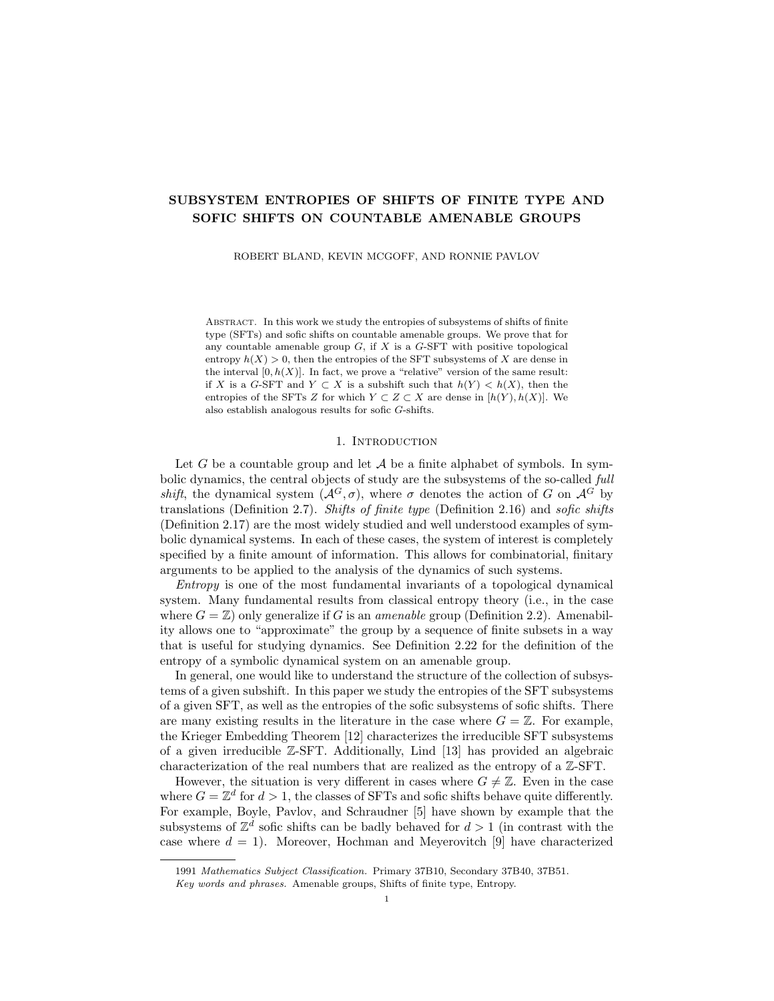assumption that  $|\text{ints}^a(\partial \beta_n, Z_n)| > 1$ , we know there is an aligned block  $\tilde{b}_n \neq \beta_n$ that occurs in  $Z_n$  such that  $\partial \tilde{b}_n = \partial \beta_n$ .

Recall X is an SFT specified by patterns of shape K, and  $\tilde{b}_n^X$  is allowed in X. Again we may apply Lemma 2.21 at most countably many times, excising  $\beta_n^X$ wherever it may occur in x and replacing it with  $\tilde{b}_n^X$ . At the end we receive a new point  $x^0 \in X$ , within which  $\beta_n^X$  does not occur. Then  $(x^0, t)$  is allowed in  $Z_{n+1}$  and  $(x^{\theta}, t)(S) = b$ , hence  $b \in \mathcal{P}^a(S, Z_{n+1})$ .

The conclusion is that  $\beta_n$  is the only aligned block lost from  $Z_n$  to  $Z_{n+1}$ . For each  $b \in \mathcal{P}^a(S, Z_n)$ , we have either  $\text{ints}^a(\partial b, Z_n) = \text{ints}^a(\partial b, Z_{n+1})$  or  $\text{ints}^a(\partial b, Z_n) =$ ints<sup>a</sup>( $\partial b$ ,  $Z_{n+1}$ )  $\Box$  { $\beta_n$ }. If two positive integers differ by at most 1 then their ratio is at most 2, hence the inequality (4) follows.

Finally, we shall use the estimates (E1) and (E2) to argue for the ultimate claims (U1) and (U2) made before. For the first, consider a fixed  $n < N$ . It is clear that  $h(Z_{n+1}) \leq h(Z_n)$  by inclusion. For the second inequality in (U1), we have

$$
|\mathcal{P}(F, Z_n)| \leq |\mathcal{A}|^{\delta/Fj} \cdot \int_{\tau}^{\tau} \frac{|\operatorname{ints}^a(f(\partial \tau), Z_n)|}{2 |\operatorname{ints}^a(f(\partial \tau), Z_{n+1})|}
$$
  

$$
\leq |\mathcal{A}|^{\delta/Fj} \cdot 2^{\delta/Fj} \cdot \int_{t}^{\tau} \int_{\tau}^{\tau} \times \int_{\tau}^{\tau} |\operatorname{ints}^a(f(\partial \tau), Z_{n+1})|
$$
  

$$
\leq |\mathcal{A}|^{\delta/Fj} \cdot 2^{\delta/Fj} \cdot |\mathcal{P}(F, Z_{n+1})|,
$$

where the inequalities are justified by (E2), (4), the fact that  $|\mathcal{T}_t(F)| < \delta|F|$ , and  $(E1)$ , respectively. Taking logs and dividing through by  $|F|$ , we obtain

$$
h(Z_n) < h(F, Z_n) + \delta
$$
\n
$$
< \delta \log |\mathcal{A}| + \delta \log 2 + h(F, Z_{n+1}) + \delta
$$
\n
$$
< \delta \log |\mathcal{A}| + \delta \log 2 + h(Z_{n+1}) + \delta + \delta
$$
\n
$$
= h(Z_{n+1}) + 2\delta + \delta \log 2 + \delta \log |\mathcal{A}|
$$
\n
$$
< h(Z_{n+1}) + \varepsilon,
$$

where we have used the property  $(F2)$  of F, the previous display, the property  $(F2)$ again, and our choice of  $\delta$ . This inequality establishes (U1). For (U2), recall that the terminal shift  $Z_N$  has the property that any aligned border  $\partial b \in \mathcal{P}^a(\partial S, Z_N)$ on any shape  $S \in \mathcal{S}$  has exactly 1 allowed aligned interior. Hence, we see that

$$
|\mathcal{P}(F, Z_N)| \leq |\mathcal{A}|^{\delta/Fj} \cdot \begin{cases} |\operatorname{ints}^a(f(\partial \tau), Z_N)| \\ \times \times \times \times \\ 1 \end{cases}
$$
  

$$
= |\mathcal{A}|^{\delta/Fj} \cdot \begin{cases} \times \\ \times \times \times \times \\ 1 \end{cases}
$$
  

$$
< |\mathcal{A}|^{\delta/Fj} \cdot e^{\delta/Fj} \cdot |\mathcal{A}|^{\delta/Fj} \cdot 1,
$$

where the first inequality is justified by (E2) and the last inequality is justified by our bounds on the number of terms in the sums (established previously). Taking logs and dividing through by  $|F|$ , we finally have

$$
h(Z_N) < h(F, Z_N) + \delta
$$
\n
$$
< \delta + 2\delta \log |\mathcal{A}| + \delta
$$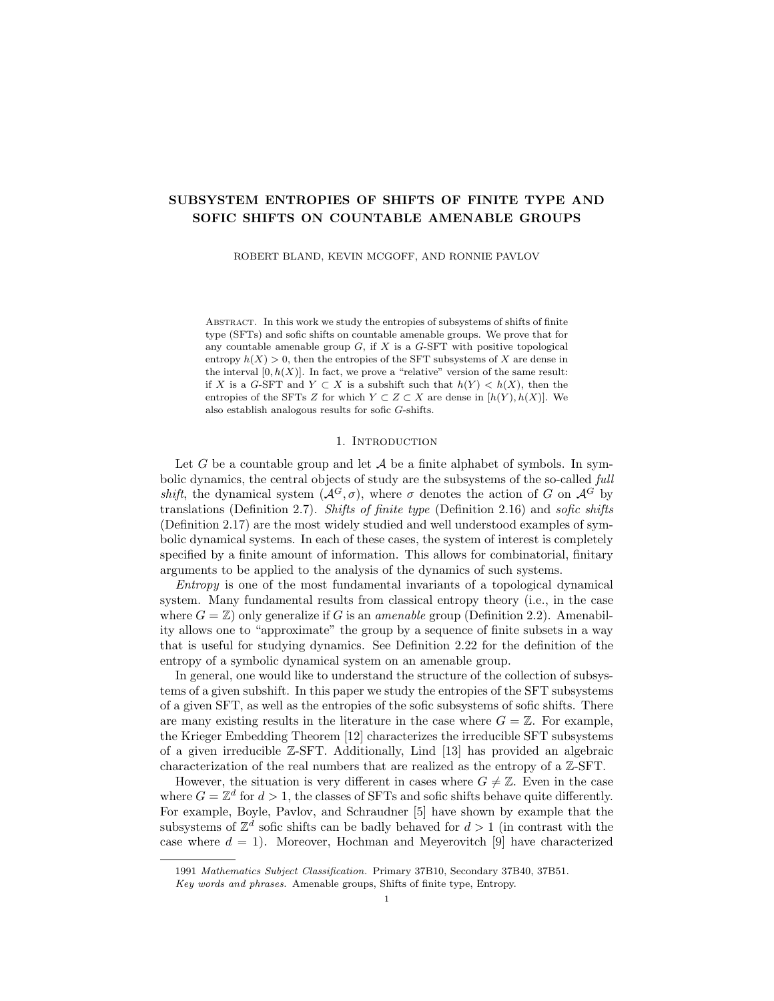$$
= 2\delta + 2\delta \log |\mathcal{A}|
$$
  

$$
< \varepsilon,
$$

where we have used the property  $(F2)$  of the set F, the previous display, and our choice of  $\delta$ . We have now established (U2).

With (U1) and (U2) in hand, the rest of the proof is easy. By (U1) and (U2), we have that  $(Z_n)_{n \in N}$  is a family of subshifts of  $X \times \Sigma_0$  such that  $(h(Z_n))_{n \in N}$  is  $\varepsilon$ -dense in  $[0, h(X \times \Sigma_0)].$ 

For each  $n \leq N$ , let  $X_n = \pi(Z_n) \subset X$ , where  $\pi$  is the projection map  $\pi(x, t) = x$ . From Lemma 2.29,  $\mathcal{H}(\pi) = h(\Sigma_0) = 0$ , hence  $h(X_n) = h(Z_n)$  for every  $n \leq N$ .

Then  $(X_n)_{n \le N}$  is a descending family of subshifts of X such that  $(h(X_n))_{n \le N}$  is  $\varepsilon$ -dense in  $[0, h(X)]$ . Though each  $X_n$  may not be an SFT, we do know that X is an SFT. One may therefore apply Theorem 2.27 to construct a family of SFTs  $(Y_n)_{n \in N}$ such that for each  $n \leq N$ , we have  $X_n \subset Y_n \subset X$  and  $h(X_n) \leq h(Y_n) < h(X_n) + \varepsilon$ . Hence  $(h(Y_n))_{n \in N}$  is 2 $\varepsilon$ -dense in  $[0, h(X)]$ . As  $\varepsilon$  was arbitrary, we conclude that the entropies of the SFT subsystems of X are dense in  $[0, h(X)]$ .

The following "relative" version of Theorem 4.1 is stronger and easily obtained as a consequence of Theorem 4.1.

**Corollary 4.2.** Let G be a countable amenable group, let X be a  $G$ -SFT, and let  $Y \subset X$  be any subsystem such that  $h(Y) < h(X)$ . Then

 ${h(Z) : Y \subset Z \subset X \text{ and } Z \text{ is an SFT}}$ 

is dense in  $[h(Y), h(X)].$ 

*Proof.* We prove the density directly. Suppose  $(a, b) \subset [h(Y), h(X)]$  for positive reals  $a < b$ , and let  $\varepsilon < (b - a)/2$ . By Theorem 4.1, there exists an SFT  $Z_0 \subset X$ such that  $a < h(Z_0) < a + \varepsilon$ . Note that these inequalities give  $h(Y) < h(Z_0)$ . Consider the subshift  $Y \cup Z_0 \subset X$ , which has entropy

$$
h(Y \cup Z_0) = \max \ h(Y), h(Z_0) = h(Z_0) \in (a, a + \varepsilon).
$$

Because X is an SFT and  $Y \cup Z_0 \subset X$ , by Theorem 2.27 there is an SFT Z such that  $Y \cup Z_0 \subset Z \subset X$  and  $h(Y \cup Z_0) \leq h(Z) < h(Y \cup Z_0) + \varepsilon$ . Thus we have

$$
a < h(Y \cup Z_0) \le h(Z) < h(Y \cup Z_0) + \varepsilon < a + 2\varepsilon < b.
$$

Since  $(a, b)$  was arbitrary, the proof is complete.

#### 5. Sofic shifts

5.1. An extension result for sofic shifts. In order to address the case of sofic shifts, we seek to leverage our results on SFTs. In particular, given a sofic shift  $W$ , we would like an SFT  $X$  such that  $W$  is a factor of  $X$  and such that the maximal entropy drop across the factor map is very small. The following theorem guarantees the existence of such SFTs.

**Theorem 5.1.** Let  $W \subset \mathcal{A}_{W}^{G}$  be a sofic shift. For every  $\varepsilon > 0$ , there exists an SFT  $\tilde{X}$  and a one-block code  $\tilde{\phi}$  :  $\tilde{X} \to W$  such that the maximal entropy gap of  $\tilde{\phi}$ satisfies  $\mathcal{H}(\phi) < \varepsilon$ .

*Proof.* Since W is sofic, there exists an SFT  $X \subset \mathcal{A}_{X}^G$  and a factor map  $\phi: X \to W$ . Without loss of generality, we assume that

i.  $\phi$  is a one-block code, witnessed by the function  $\Phi : \mathcal{A}_X \to \mathcal{A}_W$ , and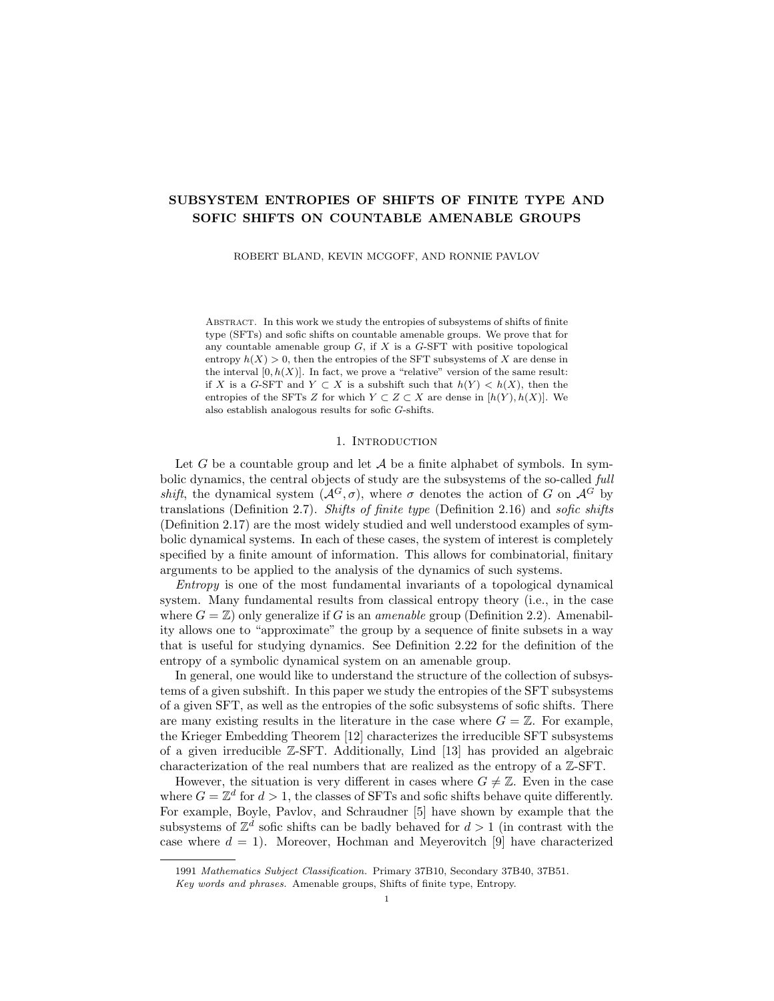ii.  $A_X$  and  $A_W$  are disjoint.

We abbreviate  $\mathcal{A}_{XW} = \mathcal{A}_X \sqcup \mathcal{A}_W$ . Let  $\varepsilon > 0$ , and select  $\delta > 0$  such that

 $4\delta + \delta(1+\delta) \log |\mathcal{A}_X| < \varepsilon/2.$ 

Let  $K \subset G$  be a large finite subset that specifies X as an SFT. The set K is fixed for the remainder of this proof, and thus we shall denote  $\partial_{KK}$  1F by  $\partial F$  and  $int_{KK}$  1 F by int F for any finite set  $F \subset G$ . By Theorem 3.6, there exists a finite set of finite shapes  $S$  such that the following conditions are met.

i. Each shape  $S \in \mathcal{S}$  is  $(KK^{-1}, \eta)$ -invariant, where  $\eta > 0$  is a constant such that  $\eta|KK^{-1}| < \delta$ . By Lemma 2.5, this implies  $|\partial S| < \delta|S|$  for each  $S \in \mathcal{S}$ .

- ii.  $KK^{-1} \subset S$  and  $|S| > \delta^{-1}$  for each  $S \in S$ .
- iii. There is a point  $t_0 \in \Sigma_E(\mathcal{S})$  such that  $h(\overline{\mathcal{O}}(t_0)) = 0$ .

Recall by Proposition 3.3 that  $\Sigma_E$  is an SFT. By Theorem 2.27, there is an SFT T such that  $\overline{\mathcal{O}}(t_0) \subset T \subset \Sigma_F$  and  $h(T) < h(\overline{\mathcal{O}}(t_0)) + \delta$ . Consequently, each point  $t \in T$  is an encoding of an exact tiling  $\mathcal{T}_t$  of G over S (possibly distinct from the original tiling  $\mathcal{T}_0$ , with tiling system entropy

$$
h(\mathcal{T}_t) = h(\overline{\mathcal{O}}(t)) \le h(T) < h(\overline{\mathcal{O}}(t_0)) + \delta = 0 + \delta.
$$

Because X and T are SFTs, we have that  $X \times T \subset (\mathcal{A}_X \times \Sigma)^G$  is also an SFT.

Let  $t \in T$  be arbitrary, and recall that  $\mathcal{T}_t$  is a partition of G. Thus, for each  $g \in G$ , there is a unique tile  $\tau \in \mathcal{T}_t$  such that  $g \in \tau$ . We define the notation  $\mathcal{T}_t(g)$ by setting  $\mathcal{T}_t(g) = \tau$ . Next we define a map  $\phi_t : X \to \mathcal{A}_{XW}^G$  by the following rule: for each  $g \in G$  and  $x \in X$ ,

$$
\phi_t(x)_g = \begin{cases} x_g & \text{if } g \in \partial \mathcal{T}_t(g), \\ \Phi(x_g) & \text{if } g \in \text{int } \mathcal{T}_t(g). \end{cases}
$$

This map is well-defined, as  $\tau = \partial \tau \sqcup \text{int } \tau$ . The map  $\phi_t$  applies the one-block code  $\phi$  to "most" of a point x, by relabelling the *interiors* of each tile  $\tau \in \mathcal{T}_t$ .

We now define a sliding block code  $\varphi: X \times T \to (\mathcal{A}_{XW} \times \Sigma)^G$  by applying the map(s)  $\phi_t$  fiber-wise: for each point  $(x, t) \in X \times T$ , let

$$
\varphi(x,t) = (\phi_t(x),t).
$$

It is straightforward to check that  $\varphi$  is indeed a sliding block code (Definition 2.8). For the theorem, the desired shift  $\tilde{X}$  is identified with the range of this map. Let

$$
\tilde{X} = \varphi(X \times T) \subset (\mathcal{A}_{XW} \times \Sigma)^G.
$$

See Figure 3 for an illustration of the construction. It remains to show that there is a one-block code  $\phi: X \to W$ , that the shift X is an SFT, and that  $\mathcal{H}(\phi) < \varepsilon$ .

First, let us show that  $\tilde{X}$  factors onto W. The factor map is induced by the function  $\tilde{\Phi}: A_{XW} \to A_W$ , which is an extension of  $\Phi$ , defined by the following rule:  $\tilde{\Phi}(\alpha) = \alpha$  if  $\alpha \in \mathcal{A}_W$ , and  $\tilde{\Phi}(\alpha) = \Phi(\alpha)$  if  $\alpha \in \mathcal{A}_X$ . Let  $\tilde{\phi} : \tilde{X} \to \mathcal{A}_W^G$  be given by

$$
\tilde{\phi}(\tilde{x},t)_{g} = \tilde{\Phi}(\tilde{x}_{g}), \quad \forall g \in G \text{ and } \forall (\tilde{x},t) \in \tilde{X}.
$$

It is clear that  $\tilde{\phi}$  is a one-block code. Let us now show that  $\tilde{\phi}(\tilde{X}) = W$ . Let  $x \in X$  and  $t \in T$ , in which case  $(\phi_t(x), t) \in \tilde{X}$  is an arbitrary point. The effect of applying the map  $\phi_t$  to x is to apply the one-block code  $\phi$  to "most" of x. The map  $\phi$  then "completes" the relabelling, via the extended function  $\tilde{\Phi}$ . In fact, we have that  $\tilde{\phi}(\phi_t(x), t) = \phi(x) \in W$ , hence  $\tilde{\phi}(\tilde{X}) \subset W$ . For the reverse inclusion, let  $w \in W$ . Since  $\phi: X \to W$  is onto, there exists a point  $x \in X$  such that  $\phi(x) = w$ .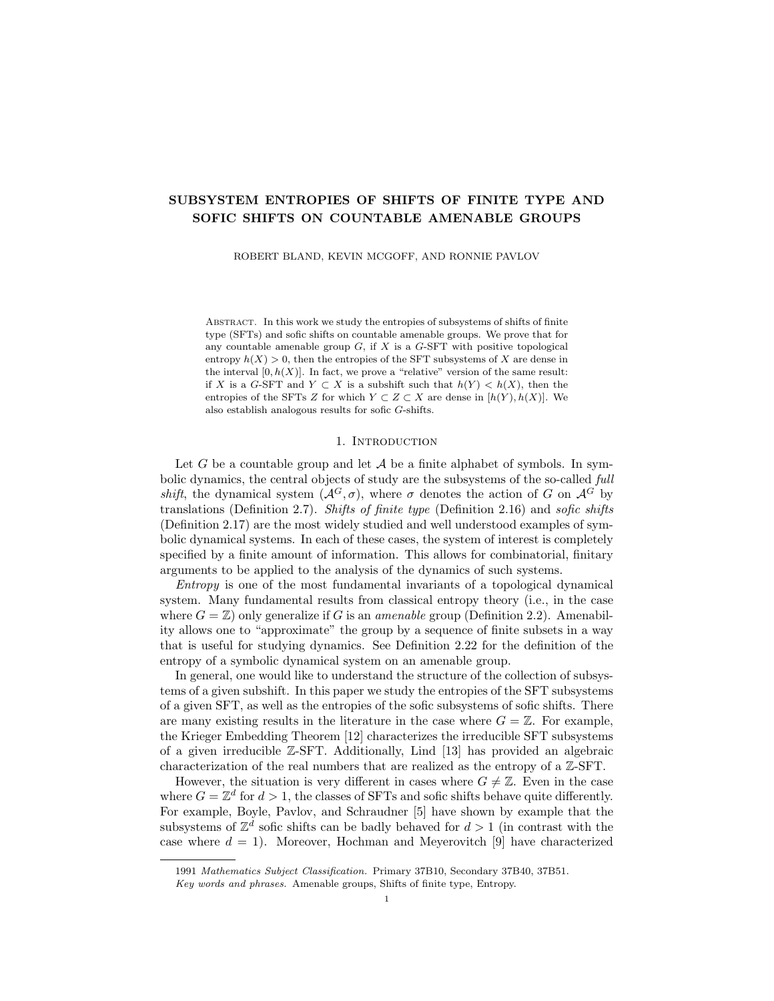

FIGURE 3. A hypothetical point  $x \in X$  with a tiling  $t \in T$  overlayed; the partially-transformed point  $\phi_t(x)$  is pictured, which is labelled with symbols from both  $X$  and  $W$ ; finally, the whollytransformed image point  $\phi(x) \in W$  is reached.

Choose  $t \in T$  arbitrarily; then  $(\phi_t(x), t) \in \tilde{X}$  and  $\tilde{\phi}(\phi_t(x), t) = \phi(x) = w$ . We conclude that  $\tilde{\phi} : \tilde{X} \to W$  is a genuine factor map (and a one-block code).

Let us now show that  $\tilde{X}$  is an SFT. We repeat that the shift  $\tilde{X}$  can be written in the following instructive form:

$$
\tilde{X} = (\phi_t(x), t) : x \in X \text{ and } t \in T \subset (\mathcal{A}_{XW} \times \Sigma)^G.
$$

In order to show that  $\tilde{X}$  is an SFT, we will construct an SFT  $\tilde{X}_1 \subset (\mathcal{A}_{XW} \times \Sigma)^G$ and then prove that  $\tilde{X} = \tilde{X}_1$ . Recall that  $K \subset G$  specifies X as an SFT. Let  $K_T \subset G$  be a finite subset such that  $\mathcal{P}(K_T, T)$  specifies T. We define  $\tilde{X}_1$  to be the set of points  $(\tilde{x}, t) \in (\mathcal{A}_{XW} \times \Sigma)^G$  that satisfy the following local rules.

(R1) Any pattern of shape  $K_T$  that occurs in t must belong to  $\mathcal{P}(K_T, T)$ , and any pattern of shape K that occurs in  $\tilde{x}$  and belongs to  $\mathcal{A}_{X}^{K}$  must also belong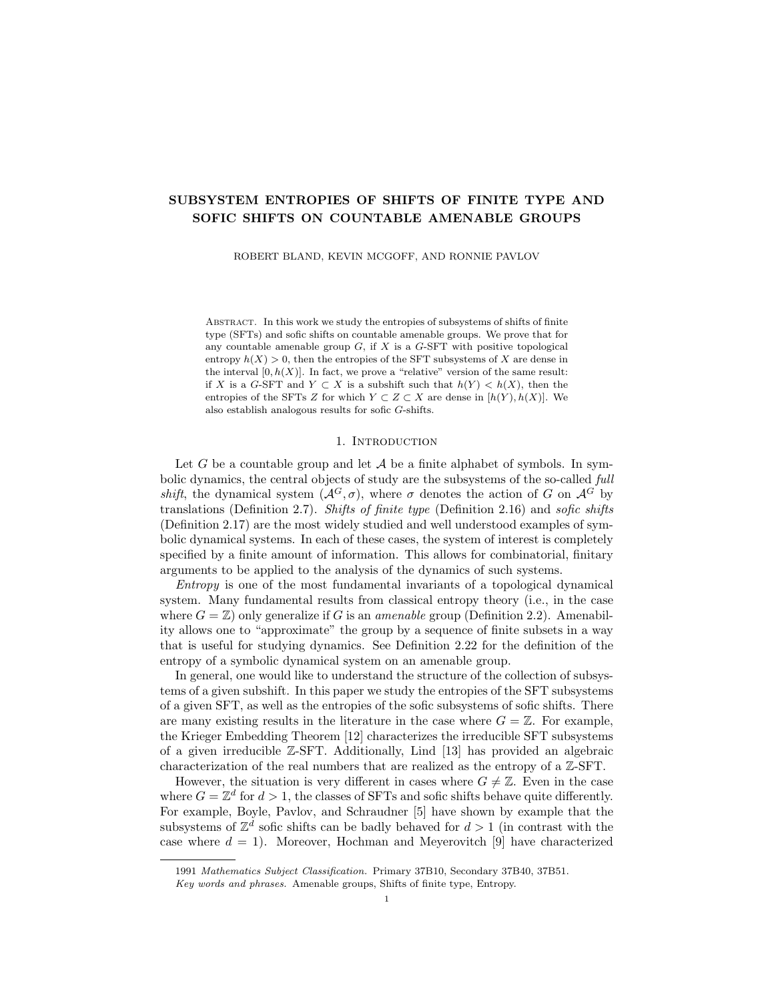to  $\mathcal{P}(K,X)$  (recall  $\mathcal{P}(K,\tilde{X}) \subset \mathcal{A}_{XW}^K = (\mathcal{A}_X \sqcup \mathcal{A}_W)^K$  in general). Note by Definition 2.14 that this condition is shift-invariant.

(R2) For any shape  $S \in \mathcal{S}$  and any  $c \in G$ , if t satisfies  $(\sigma^{c} t)_{s} = (S, s)$  for each  $s \in S$ , then  $\exists b \in \mathcal{P}(S, X)$  such that  $(\sigma^c \tilde{x})_s = b_s \in \mathcal{A}_X$  for all  $s \in \partial S$  and  $({\sigma}^c \tilde{x})_s = \Phi(b_s) \in \mathcal{A}_W$  for all  $s \in \text{int } S$ .

As these are local rules, they define an SFT; call it  $\tilde{X}_1 \subset (\mathcal{A}_{XW} \times \Sigma)^G$ . Moreover, it is easily checked that any point  $(\phi_t(x), t) \in \tilde{X}$  satisfies these rules everywhere (by construction of  $\tilde{X}$ ), and so we have  $\tilde{X} \subset \tilde{X}_1$ .

For the reverse inclusion, consider a point  $(\tilde{x}, t) \in \tilde{X}_1$ . From (R1) it follows that  $t \in T$ , as T is an SFT specified by  $K_T$ . Therefore, t encodes an exact tiling  $\mathcal{T}_t$  of G over S with  $h(\mathcal{T}_t) < \delta$ . Let  $(\tau_n)_n$  enumerate the tiles of  $\mathcal{T}_t$ , and for each n let  $\tau_n = S_n c_n$  for some  $S_n \in \mathcal{S}$  and  $c_n \in G$ . Recall  $\{\tau_n : n \in \mathbb{N}\}\$ is a partition of G.

Let  $n \in \mathbb{N}$ , and consider  $c = c_n$  and  $S = S_n$ . Observe that, because t encodes the tiling  $\mathcal{T}_t$ , we have  $(\sigma^c t)_s = (S, s)$  for each  $s \in S$ . Then by (R2), there exists a block  $b = b_n \in \mathcal{P}(S, X)$  such that  $(\sigma^c \tilde{x})_s = b_s$  for all  $s \in \partial S$  and  $(\sigma^c \tilde{x})_s = \Phi(b_s)$ for all  $s \in \text{int } S$ .

Define a point  $x \in \mathcal{A}_{X}^{G}$  by setting  $x(\tau_n) = b_n$  for each  $n \in \mathbb{N}$ . We claim that x is an allowed point of X and that  $\phi_t(x) = \tilde{x}$ . Toward this, let  $g \in G$  be arbitrary, and consider the translate  $Kg$  (recall that K specifies X as an SFT).

If Kg intersects the *interior* of any tile  $\tau_n = S_n c_n$ , then  $Kg \subset \tau_n$  by Lemma 2.6. In this case, the pattern  $(\sigma^g x)(K)$  is a subpattern of  $b_n$ , and must therefore be allowed in X as  $b_n \in \mathcal{P}(S_n, X)$ . The alternative is that  $Kg$  is disjoint from the interior of every tile, in which case  $Kg \subset \bigcap_{n} \partial \tau_n$ . By (R2), we also have  $\tilde{x}_g \in \mathcal{A}_X$ for every  $g \in \mathcal{S}_n$  int  $\tau_n$ . In this case we have  $(\sigma^g x)(K) = (\sigma^g x)(K)$ , which is again allowed in  $X$  by  $(R1)$ .

In either case we have that  $(\sigma^g x)(K)$  is allowed in X for any  $g \in G$ , and hence  $x \in X$ . Then by the definition of  $\phi_t$ , we see that  $\phi_t(x) = \tilde{x}$ . Thus, we have found a point  $(x, t) \in X \times T$  such that  $\varphi(x, t) = (\phi_t(x), t) = (\tilde{x}, t)$ , and hence  $(\tilde{x}, t) \in X$ . We conclude that  $\tilde{X} = \tilde{X}_1$ , and therefore  $\tilde{X}$  is an SFT.

Finally, let us show that  $\mathcal{H}(\tilde{\phi}) < \varepsilon$ . Towards this end, let  $\tilde{X}^{\theta} \subset \tilde{X}$  be any subsystem of  $\tilde{X}$ , and let  $W^0 = \tilde{\phi}(\tilde{X}^0) \subset W$ . We will show that  $h(\tilde{X}^0) - h(W^0) < \varepsilon/2$ . Let  $F \subset G$  be a finite subset such that the following conditions are met.

- (F1) F is  $(UU^{-1}, \vartheta)$ -invariant, where  $U = \sigma^2 S$  and  $\vartheta > 0$  is a constant such that  $\vartheta|U||UU^{-1}| < \delta$  (recall  $\delta$  was selected at the beginning of this proof). Note this implies that  $F$  may be well approximated by tiles from any exact tiling of G over  $S$ , in the sense of Lemma 3.8.
- (F2) F is large enough to  $\delta$ -approximate (Definition 2.24) the entropy of the shifts  $X^{\ell}$ ,  $W^{\ell}$  and T (recall that  $h(T) < \delta$ , in which case  $h(F,T) < 2\delta$ ).

Such a set exists by Proposition 2.25. This set is fixed for the remainder of this proof. Recall that  $\phi$  is a one-block code, and therefore there is a well defined map  $\tilde{\Phi}_F: \mathcal{P}(F, \tilde{X}^{\ell}) \to \mathcal{P}(F, W^{\ell})$  which takes a pattern  $p \in \mathcal{P}(F, \tilde{X}^{\ell})$  and applies the one-block code to  $p$  (at each element of  $F$ ).

Recall also that a pattern  $p \in \mathcal{P}(F, \tilde{X}^{\ell})$  is of the form  $p = (\phi_t(x), t)(F)$  for some points  $x \in X$  and  $t \in T$ . The point t encodes an exact tiling  $\mathcal{T}_t$  of G over S. For each tile  $\tau \in \mathcal{T}_t$ , the definition of  $\phi_t$  implies that

(5) 
$$
\phi_t(x)(\text{int }\tau) \in \mathcal{A}_W
$$
, and  $\phi_t(x)(\partial \tau) \in \mathcal{A}_X$ .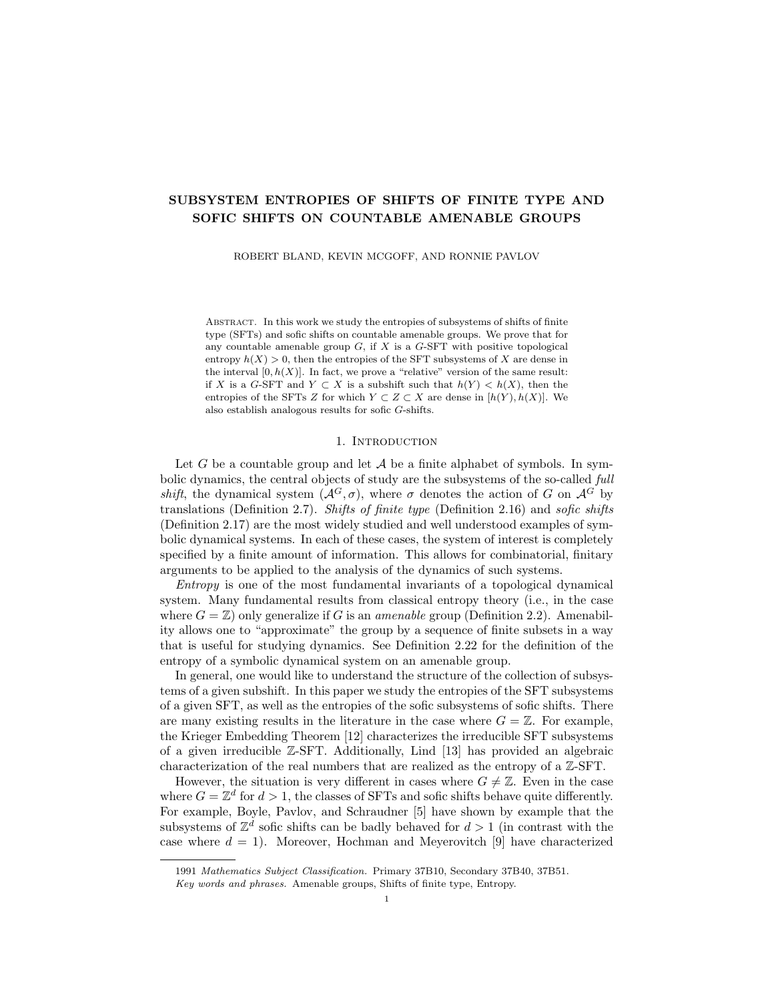Let  $q = \tilde{\Phi}_F(p) \in \mathcal{P}(F, W^{\theta})$ . Recall that every element  $g \in F$  belongs to a unique tile  $\tau = \mathcal{T}_t(g) \in \mathcal{T}_t$  (*F*), where  $\mathcal{T}_t$  (*F*)  $\subset \mathcal{T}_t$  is the outer approximation of *F* by the tiling  $\mathcal{T}_t$  (Definition 3.7). By (5), we have that

$$
q_g = \tilde{\Phi}_F(p)_g = \tilde{\Phi}(p_g^{\tilde{X}}) = \begin{cases} \Phi(p_g^{\tilde{X}}) & \text{if } g \in \partial \mathcal{T}_t(g) \\ p_g^{\tilde{X}} & \text{if } g \in \text{int } \mathcal{T}_t(g) \end{cases}
$$

In particular, we have  $q_g = p_g^{\tilde{X}}$  whenever g belongs to the set

$$
F\cap\bigcup_{\tau}\,\mathrm{int}\,\tau\;,
$$

where the union is taken over all  $\tau \in \mathcal{T}_t$  (*F*).

In light of these observations, we are ready to estimate  $|P(F, \tilde{X}^{\theta})|$  in terms of  $|P(F, W^{\theta})|$ . We first use  $\tilde{\Phi}_F$  to split over  $\mathcal{P}(F, W^{\theta})$ , and then we split again over all possible  $T$ -layers. Indeed, we have

(6) 
$$
|\mathcal{P}(F, \tilde{X}^0)| = \bigvee_{q}^{X} |\{p \in \tilde{\Phi}_F^{-1}(q) : p^T = t\}|
$$

where the sums are taken over all patterns  $q \in \mathcal{P}(F, W^{\theta})$  and  $t \in \mathcal{P}(F, T)$ . Choose and fix patterns q and t. If  $p \in \mathcal{P}(F, \tilde{X}^{\ell})$  is a pattern such that  $\tilde{\Phi}_F(p) = q$  and  $p^T = t$ , then the observations above imply that p is uniquely determined by

$$
p^{\tilde{X}} \ F \cap \bigg|_{\tau} \partial \tau \in \mathcal{A}_X
$$

where the union is taken over all tiles  $\tau \in \mathcal{T}_t$  (*F*). Moreover, our choice of *S* and the property  $(F1)$  of  $F$  together yield that

$$
\frac{1}{\tau} \partial \tau < \delta \frac{1}{\tau} \tau = \delta |F_t| < \delta (1 + \delta) |F|.
$$

Therefore, there are at most  $|\mathcal{A}_X|^{\delta(1+\delta)/Fj}$  patterns p such that  $\tilde{\Phi}_F(p) = q$  and  $p^T = t$ . From this and Equation (6), we have

$$
|\mathcal{P}(F,\tilde{X}^{\ell})| \leq |\mathcal{P}(F,W^{\ell})| \cdot |\mathcal{P}(F,T)| \cdot |\mathcal{A}_X|^{\delta(1+\delta)|F|}.
$$

By taking logs and dividing through by  $|F|$ , we obtain the following:

$$
h(\tilde{X}^{\theta}) < h(F, \tilde{X}^{\theta}) + \delta
$$
\n
$$
\leq h(F, W^{\theta}) + h(F, T) + \delta(1 + \delta) \log |\mathcal{A}_X| + \delta
$$
\n
$$
< h(W^{\theta}) + \delta + 2\delta + \delta(1 + \delta) \log |\mathcal{A}_X| + \delta
$$
\n
$$
= h(W^{\theta}) + 4\delta + \delta(1 + \delta) \log |\mathcal{A}_X|
$$
\n
$$
< h(W^{\theta}) + \varepsilon/2,
$$

where we have used property  $(F2)$  of the set F, the above inequality, property  $(F2)$ again, and our choice of  $\delta$  respectively. Since  $\tilde{X}^{\theta} \subset \tilde{X}$  was arbitrary, we have that

$$
\mathcal{H}(\tilde{\phi}) = \sup_{\tilde{X}^{\theta} \subset \tilde{X}} h(\tilde{X}^{\theta}) - h(\tilde{\phi}(\tilde{X}^{\theta})) \leq \varepsilon/2 < \varepsilon,
$$

which completes the proof.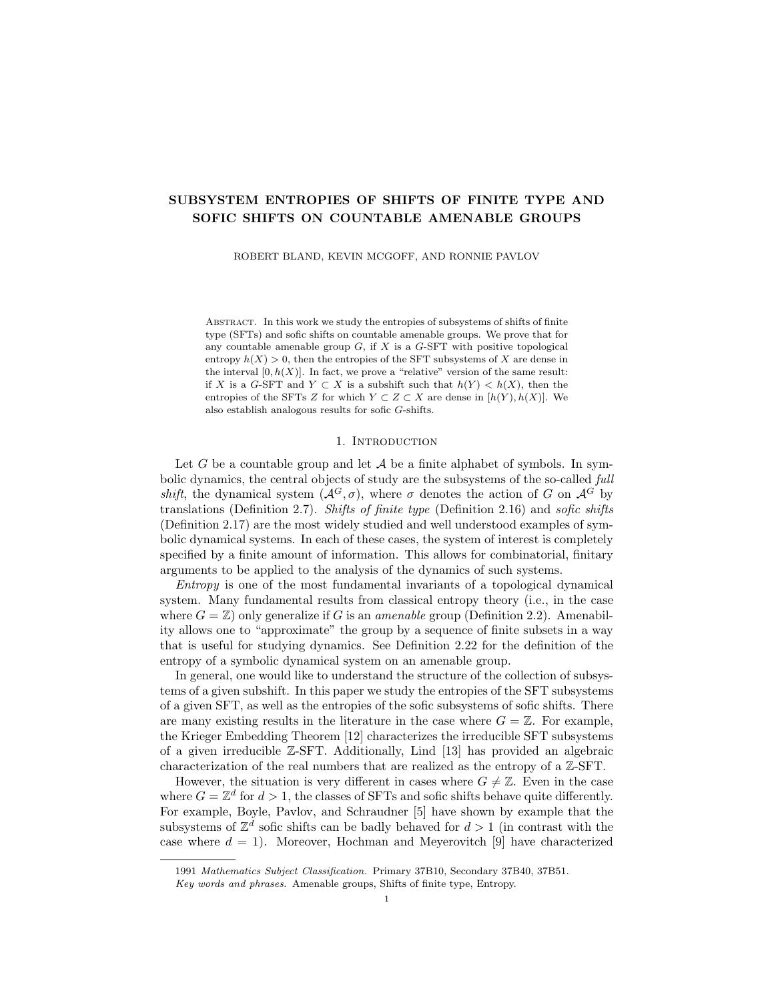5.2. Subsystem entropies for sofic shifts. Here we present our main result concerning subsystem entropies for sofic shifts. The proof follows easily by combining our extension result (Theorem 5.1) with our result for SFTs (Theorem 4.2).

**Theorem 5.2.** Let  $G$  be a countable amenable group, let  $W$  be a sofic  $G$ -shift and let  $V \subset W$  be any subsystem such that  $h(V) < h(W)$ . Then

$$
\{h(U) : V \subset U \subset W \text{ and } U \text{ is softc}\}\
$$

is dense in  $[h(V), h(W)].$ 

*Proof.* We prove the density directly. Let  $(a, b) \subset [h(V), h(W)]$  for some real numbers  $a < b$ . Let  $\varepsilon < (b - a)/2 < h(W) - h(V)$ . By Theorem 5.1, there exists an SFT X and a factor map  $\phi: X \to W$  such that  $\mathcal{H}(\phi) < \varepsilon$ .

Consider the preimage  $Y = \phi^{-1}(V) \subset X$ , which is a subshift. Note that  $\phi(Y) =$ V because  $\phi$  is surjective, hence  $\phi|_Y : Y \to V$  is a factor map. We then have that

$$
h(Y) \le h(V) + \mathcal{H}(\phi) < h(V) + \varepsilon < h(W) \le h(X).
$$

Note also that  $b \leq h(W) \leq h(X)$  and that  $a \geq h(V) > h(Y) - \varepsilon$ , which together yield that  $(a + \varepsilon, b) \subset [h(Y), h(X)]$ . By Theorem 4.2, there exists an SFT Z such that  $Y \subset Z \subset X$  and  $h(Z) \in (a + \varepsilon, a + 2\varepsilon) \subset (a, b)$ . It follows that  $U = \phi(Z)$  is a sofic shift for which  $V \subset U \subset W$  and  $h(U) \leq h(Z) < h(U) + \varepsilon$ . Then we have

$$
a < h(Z) - \varepsilon < h(U) \le h(Z) < a + 2\varepsilon < b.
$$

Thus  $h(U) \in (a, b)$ , which completes the proof.

If one selects  $V = \emptyset$  for the above theorem, then one recovers the statement that the entropies of the sofic subsystems of W are dense in  $[0, h(W)]$ . Next, we present our result concerning the entropies of arbitrary subsystems of sofic shifts.

**Corollary 5.3.** Let W be a sofic shift. For every nonnegative real  $r \leq h(W)$ , there exists a subsystem  $R \subset W$  for which  $h(R) = r$ .

*Proof.* If  $h(W) = 0$ , then  $r = 0$ , in which case one may simply select  $R = W$ . If  $h(W) > 0$ , then let  $W_0 = W$  and let  $(\varepsilon_n)_n$  be a sequence of positive real numbers converging to zero. We have that  $W_0$  is sofic and  $r \leq h(W_0)$ , and without loss of generality we assume that  $h(W_0) < r + \varepsilon_0$ .

Inductively construct a descending sequence of sofic shifts as follows. If  $W_n \subset W$ is a sofic shift such that  $r \leq h(W_n) < r + \varepsilon_n$ , then by Theorem 5.2 there exists a sofic shift  $W_{n+\mathbf{T}} \subset W_n$  for which  $r \leq h(W_{n+1}) < r + \varepsilon_{n+1}$ .

Then  $R = \frac{1}{n} W_n \subset W$  is a subshift such that  $h(R) = \lim_n h(W_n) = r$  by Proposition 2.26.

# 6. A counter-example

Theorem 5.2 implies that the entropies of the *sofic* subsystems of a sofic shift space W are dense in  $[0, h(W)]$ . One may wonder if this can be somehow "sharpened"; that is, one may wonder whether

$$
{h(W^{\theta}) : W^{\theta} \subset W \text{ and } W^{\theta} \text{ is an SFT}}
$$

is dense in  $[0, h(W)]$ . However, this statement is nowhere close to true in general, as we illustrate in this section by counterexample. This example is an adaptation of a construction of Boyle, Pavlov, and Schraudner [5].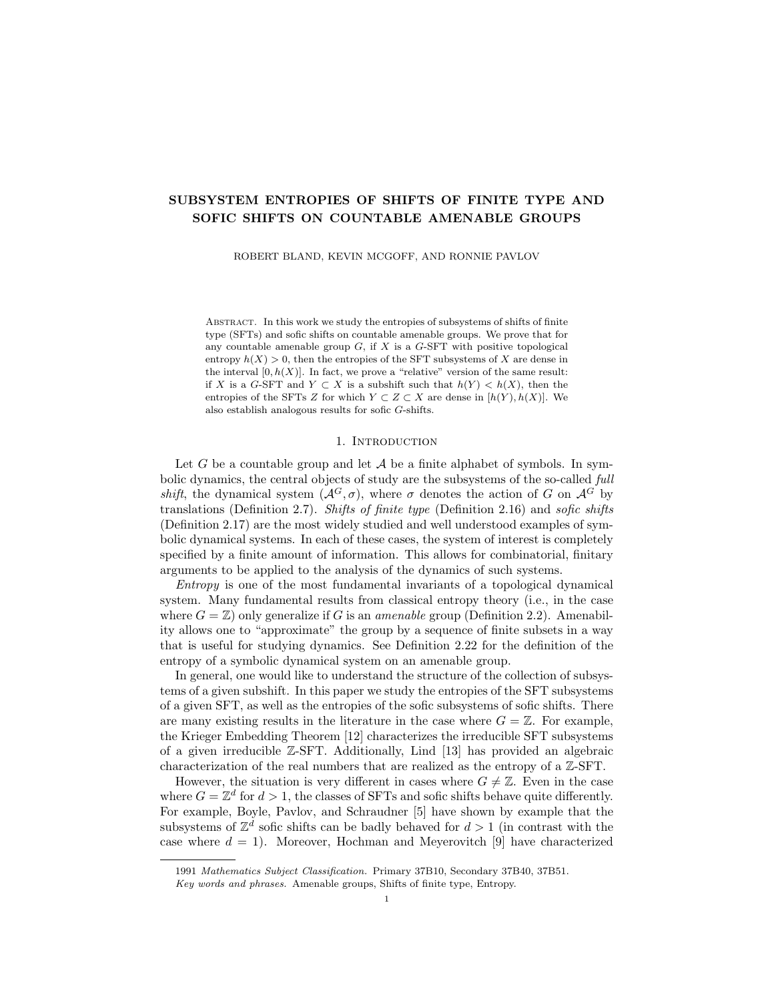**Proposition 6.1.** There exists a sofic  $\mathbb{Z}^2$ -shift with positive entropy whose only SFT subsystem is a singleton.

*Proof.* We first construct a certain point in  $\{0,1\}^{\mathbb{Z}}$  as the limit of a sequence of finite words, then consider the subshift it generates. Let  $\delta = 0.1$  and let  $(T_n)_n$  be the sequence of natural numbers given by

$$
T_n = 2n \cdot 2^n \cdot \delta^{-1} + 1
$$

for each *n*. Let  $w^1 = 010 \in \{0, 1\}^3$ , and for each *n* define the word

(7) 
$$
w^{n+1} = w^n w^n \cdots w^n w^n 0^n 10^n,
$$

where the  $w^n$  term is repeated exactly  $T_n$  times. The limit word  $w^{\dagger} \in \{0,1\}^{\mathbb{N}_0}$  is an infinite one-sided sequence. Define a two-sided sequence  $x \in \{0,1\}^{\mathbb{Z}}$  by  $x_i = w_{ji}^{\mathbb{Z}}$ for each  $i \in \mathbb{Z}$ . Let  $X = \overline{\mathcal{O}}(x) \subset \{0,1\}^{\mathbb{Z}}$  be the subshift generated by x. We claim that  $X$  exhibits the following three properties.

- (P1) X is effective, meaning that there exists a finite algorithm which enumerates a set of words  $\mathcal{F} \subset \{0, 1\}$  such that  $X = \mathcal{R} \{0, 1\}^{\mathbb{Z}}, \mathcal{F}$ .
- (P2) There exists a point  $x \in X$  such that

$$
\limsup_{n \to \infty} \frac{|\{k \in [-n, n] : x_k = 1\}|}{2n + 1} > 0.1.
$$

(P3) For each  $x \in X$ , either  $x = 0^Z$  or x contains the word  $0^n 10^n$  for every n.

For (P1), let N be arbitrary. Note that because  $X = \overline{\mathcal{O}}(x)$ , any word of length N occurring in any point  $x \in X$  is also a word occurring in  $x$ . By the recursive definition (7) and the fact that the sequence  $\{T_n\}_{n=1}^{\tau}$  is recursive, there is an algorithm which, upon input  $N$ , prints all the words of length  $N$  that do not appear as subwords of  $x$ . The shift  $X$  is therefore effective.

For (P2), we argue that x satisfies the condition. For each n, let  $L_n$  be the length of the word  $w<sup>n</sup>$ . Note that by the recurrence  $(7)$ , we have

$$
L_{n+1} = T_n L_n + 2n + 1 \quad \forall n.
$$

For each *n*, let  $f_n$  be the *frequency* of 1s in  $w^n$ , given by

$$
f_n = \frac{|\{i : w_i^n = 1\}|}{L_n}.
$$

Observe that  $f_n \leq 1$  for each n and  $f_1 = \frac{1}{3}$ . It follows from the recurrence (7) that

$$
f_{n+1} = \frac{f_n T_n L_n + 1}{T_n L_n + 2n + 1}
$$

for each  $n$ . This implies that

$$
f_n - f_{n+1} = \frac{f_n T_n L_n + f_n (2n+1) - f_n T_n L_n - 1}{T_n L_n + 2n + 1}
$$
  
 
$$
\leq \frac{1(2n+1) - 1}{T_n}
$$

in which case  $f_n - f_{n+1} \leq \frac{2n}{T_n} < \frac{\delta}{2^n}$  for each *n*. Hence, we have that

$$
f_1 - f_n = (f_1 - f_2) + (f_2 - f_3) + \dots + (f_{n-1} - f_n)
$$
  

$$
< \frac{\delta}{2} + \frac{\delta}{4} + \dots + \frac{\delta}{2^{n-1}}
$$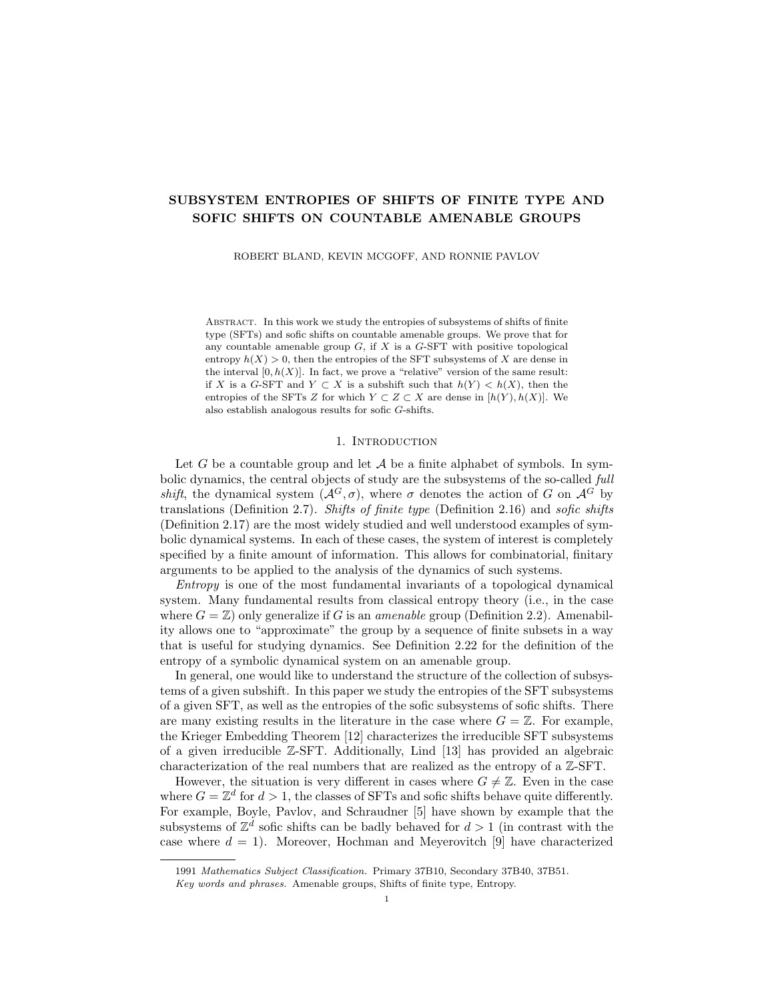$< \delta$ 

in which case  $\frac{1}{3} - \delta < f_n$  for each *n*. By the recurrence (7), we therefore have that

$$
\limsup_{n \to \infty} \frac{|\{k \in [-n, n] : x_k = 1\}|}{2n + 1} \ge \frac{1}{3} - \delta > 0.1.
$$

and the subsequence along  $(L_n)_n$  is a witness.

For (P3), let *n* be given. First, observe that the infinite sequence  $w^{\dagger}$  is the concatenation of a sequence of blocks, where each block is either the word  $w<sup>n</sup>$  or  $0<sup>m</sup>10<sup>m</sup>$  for some  $m \geq n$ . Moreover, each  $w<sup>n</sup>$  begins with 0 and ends with  $0<sup>n</sup>$ . This implies that 1s in distinct blocks are separated by at least  $n+1$  appearances of the symbol 0. Therefore, if for any  $k \leq n$  we have that  $10^k1$  appears anywhere in  $w^7$ , then it must appear as a subword of a single block (rather than overlapping two distinct blocks), and that block must be  $w^n$ .

Next, let  $x \in X$  be arbitrary. If the symbol 1 appears in x at most one time, then (P3) trivially holds. Otherwise, assume that  $10<sup>k</sup>1$  appears somewhere in x for some  $k \geq 1$ . Without loss of generality, suppose  $x_0 = x_{k+1} = 1$  and  $x_i = 0$  for  $i \in [1, k]$ . Now consider the subword  $\omega = x([-L_n, L_n])$  for any n such that  $k < L_n$ . Because  $X = \overline{\mathcal{O}}(x)$ , the word  $\omega$  must be a subword of x. Then, either  $\omega$  is a subword of x  $([-2L_n, 2L_n])$ , or  $\omega$  is a subword of  $w^{\mathcal{T}}$  or a mirror reflection of one. In the first case, the definitions of x and  $w<sup>1</sup>$  imply that  $\omega$  contains the word  $w<sup>n</sup>$ or its mirror. In the latter two cases, the observation of the previous paragraph implies that  $\omega$  must contain  $w^n$  or its mirror. In any case,  $0^n10^n$  is a subword of x. As  $n$  can be made arbitrarily large, this proves  $(P3)$ .

We now use the shift X to construct the  $\mathbb{Z}^2$ -shift which is desired for the theorem. For each point  $x \in X$ , let  $x^Z \in \{0,1\}^{\mathbb{Z}^2}$  denote the  $\mathbb{Z}^2$ -labelling given by

$$
x^{\mathbb{Z}}_{(i,j)} = x_i
$$

for each  $(i, j) \in \mathbb{Z}^2$ . That is,  $x^{\mathbb{Z}}$  is a  $\mathbb{Z}^2$ -labelling such that the symbols along each column are constant, and each row is equal to  $x$  itself. We shall also denote

$$
X^{Z} = \{x^{Z} : x \in X\} \subset \{0,1\}^{Z^{2}}.
$$

It is a theorem of Aubrun and Sablik [1] that if X is effective, then  $X^{\mathbb{Z}}$  is sofic.

Next, consider the alphabet  $\{0, 1, 1^{\ell}\}\$ , where we have artificially created two independent 1 symbols. Let  $\pi: \{0, 1, 1^0\}^{\mathbb{Z}^2} \to \{0, 1\}^{\mathbb{Z}^2}$  be the one-block code which collapses 1 and  $1^{\ell}$ . Let  $Y = \pi^{-1}(X^{\mathbb{Z}}) \subset \{0, 1, 1^{\ell}\}^{\mathbb{Z}^2}$ . The shift Y is a copy of the shift  $X^Z$ , in which the 1 symbols of every point have been replaced either by 1 or  $1<sup>\theta</sup>$  in every possible combination.

We claim that the shift  $Y$  is the desired subshift for the theorem. Specifically, we claim that  $Y$  is sofic, that  $Y$  has positive entropy, and that the only nonempty SFT subsystem of Y is the singleton  ${0^2}^2$ .

To prove that Y is sofic, we construct an SFT  $S^{\theta}$  and a factor map  $\phi^{\theta}: S^{\theta} \to Y$ to witness the soficity of Y. Since  $X^Z$  is sofic, there is an SFT  $S \subset A^{Z^2}$  and a factor map  $\phi : S \to X^{\mathbb{Z}}$ . Without loss of generality, assume that  $\phi$  is a one-block code induced by the function  $\Phi : \mathcal{A} \to \{0, 1\}.$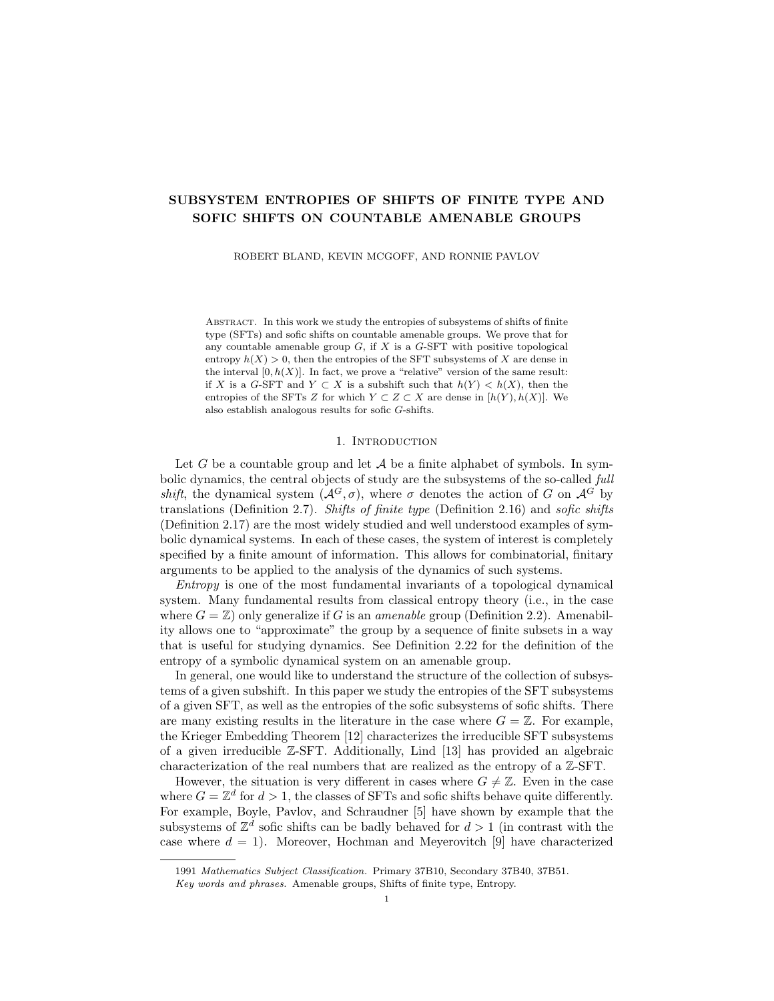Define a new finite alphabet  $\mathcal{A} \times \{1,1^{\ell}\}\$  and a one-block code  $\phi^{\ell}$  induced by the function  $\Phi^0: \mathcal{A} \times \{1, 1^0\} \to \{0, 1, 1^0\}$  which is given by

$$
\Phi^{\theta}(a,b) = \begin{cases} 0 & \text{if } \Phi(a) = 0 \\ b & \text{if } \Phi(a) = 1 \end{cases}
$$

for each  $(a, b) \in \mathcal{A} \times \{1, 1^{\ell}\}.$ 

Let  $S^{\ell} = S \times \{1, 1^{\ell}\}^{\mathbb{Z}^2}$ , which we regard as a subshift of  $(\mathcal{A} \times \{1, 1^{\ell}\})^{\mathbb{Z}^2}$ . Note that  $S^{\theta}$  is an SFT, because both S and  $\{1, 1^{\theta}\}^{\mathbb{Z}^2}$  (the full  $\mathbb{Z}^2$ -shift on two symbols) are SFTs. A point  $s^{\theta} \in S^{\theta}$  is of the form  $s^{\theta} = (s, \iota)$ , where s is a point of S and  $\iota \in \{1,1^{\ell}\}^{\mathbb{Z}^2}$  is an arbitrary 2-coloring of  $\mathbb{Z}^2$ . The reader may easily check that  $(\pi \circ \phi^0)(s, \iota) = \phi(s) \in X^{\mathbb{Z}}$ , from which it follows that  $\phi^0(S^0) = \pi^{-1}(X^{\mathbb{Z}}) = Y$ . Then  $\phi^{\theta}: S^{\theta} \to Y$  is a factor map. Since  $S^{\theta}$  is an SFT, we conclude that Y is sofic.

Next, we will show that  $h(Y) > 0$ . From property (P2), the point  $x \in X$ exhibits 1s in more than 10% of the positions in each of infinitely many symmetric intervals, say of the form  $[-\ell_n, \ell_n]$  for an increasing sequence of natural numbers  $(\ell_n)_n$ . Therefore, the point  $(x)$ <sup>Z</sup> exhibits 1s in more than 10% of the positions in each square  $F_n = [-\ell_n, \ell_n]^2$ . Each 1 in the pattern  $(x, \ell)^Z(F_n)$  may be replaced by 1 or  $1^\theta$  independently to yield an allowed pattern of Y, which implies that

$$
|\mathcal{P}(F_n, Y)| \ge 2^{0.1/F_n j} \quad \forall n.
$$

As  $(F_n)_n$  is a Følner sequence for  $\mathbb{Z}^2$ , we then have  $h(Y) \geq 0.1 \log 2 > 0$ .

It remains to show that the only nonempty  $SFT$  subsystem of  $Y$  is the singleton  ${0}^{\mathbb{Z}^2}$ . Suppose to the contrary that  $Z \subset Y$  is an SFT subsystem of Y which contains a nonzero point. Since Z is an SFT, we may find a constant  $k \in \mathbb{N}$  such that the allowed patterns of Z are specified by the shape  $K = [0, k)^2 \subset \mathbb{Z}^2$ .

Let  $z \in Z$  be a point different from  $0^{Z^2}$  and note  $\pi(z) = x^Z \in X^Z$  for some  $x \in X$  with  $x \neq 0^Z$ . By property (P1), the string  $0^n10^n$  appears in x for every n. Let  $n > k$  be fixed. Suppose without loss of generality that  $0<sup>n</sup>10<sup>n</sup>$  appears centered at the origin of x (with  $x_0 = 1$  and  $x_i = 0$  for  $0 < |i| \le n$ ). Thus we have  $z_{(0,0)} = 1$ or  $1^{\ell}$ . In fact, by the definition of Y, we have  $z_{(0,j)} \in \{1,1^{\ell}\}\)$  for every  $j \in \mathbb{Z}$ .

Consider the  $i = 0$  column of the point z. Starting with each index  $\ell \in \mathbb{Z}$  and looking up, there is a corresponding vertically oriented word  $\omega^{\ell} \in \{1,1^{\ell}\}^n$  given by  $\omega_j^{\ell} = z_{(0,\ell+j)}$  for each  $j \in [0,n)$ . By the pigeonhole principle, there must exist a word  $\zeta \in \{1,1^{\ell}\}^n$  such that  $\zeta = \omega^{\ell}$  for infinitely many choices of  $\ell$ . That is, for infinitely many choices of  $\ell$ , we have  $z_{(0,\ell+j)} = \varsigma_j$  for each  $j \in [0, n)$ .

Let  $\ell_1 < \ell_2$  be two such indices where a repetition occurs, with  $\ell_2 - \ell_1 > n$ . That is, we have  $z_{(0,\ell_1+j)} = z_{(0,\ell_2+j)} = \varsigma_j$  for every  $j \in [0, n)$ . Now consider the rectangle  $r = z [-n, n] \times [\ell_1, \ell_2)$ . Tile  $\mathbb{Z}^2$  with infinitely many translated copies of r to obtain a new point  $z^{\ell} \in \{0, 1, 1^{\ell}\}^{\mathbb{Z}^2}$ . Figure 4 illustrates the construction.

Every pattern of shape  $K = [0, k)^2$  which occurs in  $z^{\theta}$  is a pattern which occurs in z (including the pattern of all zeroes), hence they are all allowed in Z. Because Z is an SFT specified by K, it then follows that  $z^{\theta} \in Z$ . Because  $Z \subset Y = \pi^{-1}(X^Z)$ , there must exist a point  $x^0 \in X$  such that  $\pi(z^0) = (x^0)^{\mathbb{Z}}$ . We obtain a contradiction, as the point  $x^{\theta}$  cannot satisfy the property (P3) of X. For instance, the word  $0^{3n}10^{3n}$ cannot appear in  $x^{\theta}$  (as each row of  $z^{\theta}$  is periodic in the horizontal direction with period  $2n + 1 < 3n$ ). This demonstrates that if Z is an SFT, then it contains no nonzero point. Therefore, the only nonempty SFT subsystem of Y is  $\{0^{Z^2}\}.$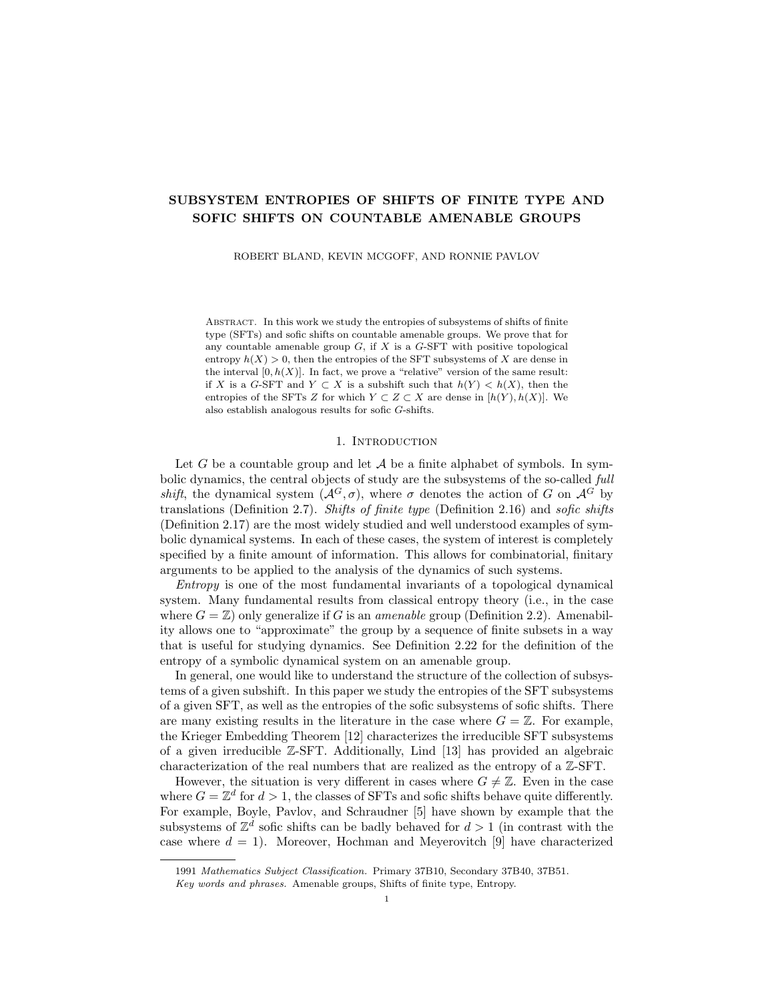|  |  |  |  |  |  |  |  |  |  | $\dots$ 0111011100010001'1'0101'     |  |
|--|--|--|--|--|--|--|--|--|--|--------------------------------------|--|
|  |  |  |  |  |  |  |  |  |  | $\dots$ 01'1'1011'1'0001'0001101'01  |  |
|  |  |  |  |  |  |  |  |  |  | $\dots$ 011'101110001'0001'1'0101'   |  |
|  |  |  |  |  |  |  |  |  |  |                                      |  |
|  |  |  |  |  |  |  |  |  |  | $\dots$ 01'1'10111000110001101'01'   |  |
|  |  |  |  |  |  |  |  |  |  | 01'1'1011'1'000i10001'1'01'01        |  |
|  |  |  |  |  |  |  |  |  |  | $\dots$ 0111011'1'0001'00011'01'01'  |  |
|  |  |  |  |  |  |  |  |  |  | $\dots$ 01'11011'1'0001'0001'10101   |  |
|  |  |  |  |  |  |  |  |  |  | 01'1'1011'100010001'1'01'01'         |  |
|  |  |  |  |  |  |  |  |  |  | 011101110001'0001'1'01'01'           |  |
|  |  |  |  |  |  |  |  |  |  |                                      |  |
|  |  |  |  |  |  |  |  |  |  |                                      |  |
|  |  |  |  |  |  |  |  |  |  | 0111011'1'0001'000 1'1'01'01'        |  |
|  |  |  |  |  |  |  |  |  |  |                                      |  |
|  |  |  |  |  |  |  |  |  |  | $\dots$ 01'110111'0001000'1101'01    |  |
|  |  |  |  |  |  |  |  |  |  | 01'11'0111 0001'000 1'1'01'01'       |  |
|  |  |  |  |  |  |  |  |  |  | 01'110111'0001'000'11'0101           |  |
|  |  |  |  |  |  |  |  |  |  | 01'11'0111 00011000 1'1'01'01        |  |
|  |  |  |  |  |  |  |  |  |  |                                      |  |
|  |  |  |  |  |  |  |  |  |  | 0111'0111'0001'0001'1'01'01'         |  |
|  |  |  |  |  |  |  |  |  |  | $\dots$ 0111'01'110001000110101'     |  |
|  |  |  |  |  |  |  |  |  |  | 01'110111'00010001'101'01'           |  |
|  |  |  |  |  |  |  |  |  |  | $\dots$ 0111'01'11'0001'0001'1'0101' |  |



 $(A)$  A hypothetical point  $Z$  is illustrated around  $[-n; n]$   $[-i; 2]$ . The repeated vertical word & is indicated by the dotted box, and the rectangle  $r$  by the solid box.

(B) The rectangle  $r$  is used to tile  $\mathbb{Z}^2$  and thereby construct  $z^{\beta}$ . Every k k block which occurs in  $z^{\theta}$  also occurs in z.

FIGURE 4. An illustration of the construction of the contradictory point  $z^{\ell}$ , in a hypothetical case where  $n = 3$  and  $k = 2$ .

#### **REFERENCES**

- [1] Nathalie Aubrun and Mathieu Sablik. "Simulation of effective subshifts by two-dimensional subshifts of finite type". In: Acta Appl. Math. 126 (2013), pp. 35–63. ISSN: 0167-8019. doi: 10.1007/s10440-013-9808-5. url: https: //doi-org.du.idm.oclc.org/10.1007/s10440-013-9808-5.
- [2] Sebastián Barbieri. "On the entropies of subshifts of finite type on countable amenable groups". In: Groups Geom. Dyn. 15.2 (2021), pp. 607–638. issn: 1661-7207. doi: 10.4171/GGD/608. url: https://doi-org.du.idm.oclc. org/10.4171/GGD/608.
- [3] Sebastián Barbieri and Mathieu Sablik. "A generalization of the simulation theorem for semidirect products". In: Ergodic Theory Dynam. Systems 39.12 (2019), pp. 3185-3206. ISSN: 0143-3857. DOI: 10.1017/etds. 2018. 21. URL: https://doi-org.du.idm.oclc.org/10.1017/etds.2018.21.
- [4] Mike Boyle. "Lower entropy factors of sofic systems". In: Ergodic Theory Dynam. Systems 3.4 (1983), pp. 541–557. ISSN: 0143-3857. DOI: 10.1017/ S0143385700002133. url: https://doi.org/10.1017/S0143385700002133.
- [5] Mike Boyle, Ronnie Pavlov, and Michael Schraudner. "Multidimensional sofic shifts without separation and their factors". In: Trans. Amer. Math. Soc. 362.9 (2010), pp. 4617–4653. issn: 0002-9947. doi: 10.1090/s0002- 9947- 10-05003-8. url: https://doi-org.du.idm.oclc.org/10.1090/s0002- 9947-10-05003-8.
- [6] Angela Desai. "Subsystem entropy for  $\mathbb{Z}^d$  sofic shifts". In: *Indag. Math.* (N.S.) 17.3 (2006), pp. 353–359. issn: 0019-3577. doi: 10.1016/S0019- 3577(06)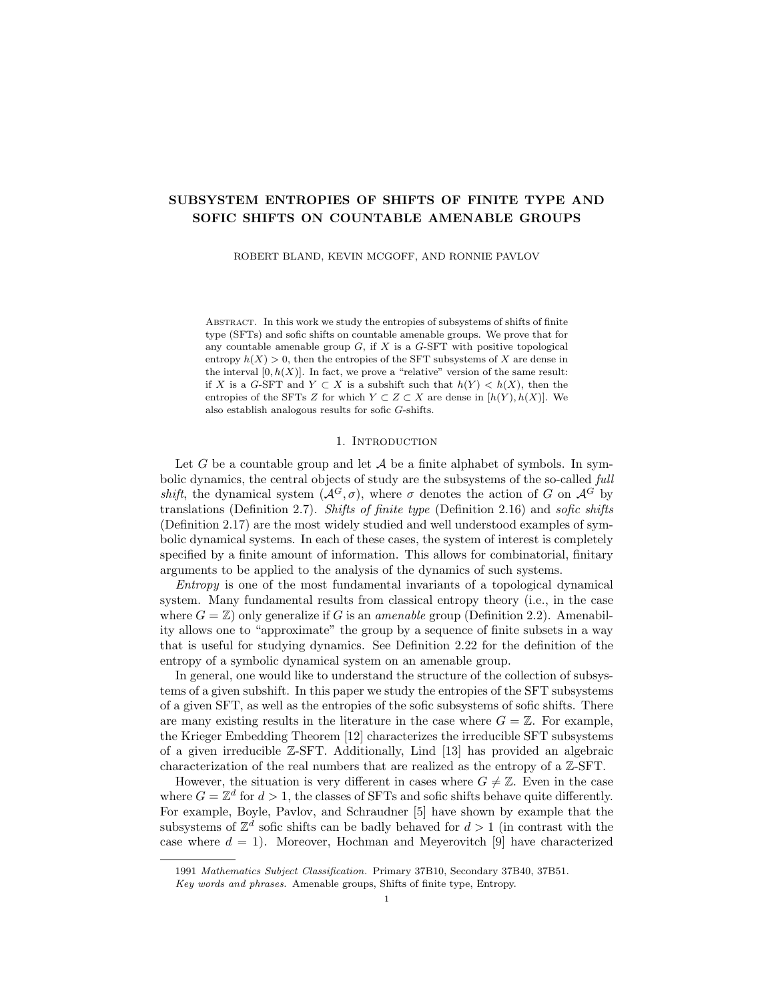80037- 6. url: https://doi- org.du.idm.oclc.org/10.1016/S0019- 3577(06)80037-6.

- [7] Tomasz Downarowicz, Dawid Huczek, and Guohua Zhang. "Tilings of amenable groups". In: J. Reine Angew. Math. 747 (2019), pp. 277–298. issn: 0075-4102. doi: 10.1515/crelle-2016-0025. url: https://doi-org.du.idm.oclc. org/10.1515/crelle-2016-0025.
- [8] Joshua Frisch and Omer Tamuz. "Symbolic dynamics on amenable groups: the entropy of generic shifts". In: *Ergodic Theory Dynam. Systems* 37.4 (2017), pp. 1187-1210. ISSN: 0143-3857. DOI: 10.1017/etds. 2015.84. URL: https: //doi-org.du.idm.oclc.org/10.1017/etds.2015.84.
- [9] Michael Hochman and Tom Meyerovitch. "A characterization of the entropies of multidimensional shifts of finite type". In: Ann. of Math. (2) 171.3 (2010), pp. 2011–2038. ISSN: 0003-486X. doi: 10.4007/annal s. 2010. 171. 2011. url.: https://doi-org.du.idm.oclc.org/10.4007/annals.2010.171.2011.
- [10] Dawid Huczek and Sebastian Kopacz. Factoring strongly irreducible group shift actions onto full shifts of lower entropy. 2021. arXiv: 2106.10687.
- [11] David Kerr and Hanfeng Li. Ergodic theory. Springer Monographs in Mathematics. Independence and dichotomies. Springer, Cham, 2016, pp. xxxiv+431. isbn: 978-3-319-49845-4. doi: 10.1007/978-3-319-49847-8. url: https: //doi-org.du.idm.oclc.org/10.1007/978-3-319-49847-8.
- [12] Wolfgang Krieger. "On the subsystems of topological Markov chains". In: Ergodic Theory Dynam. Systems 2.2 (1982), 195–202 (1983). issn: 0143-3857. doi: 10.1017/S0143385700001516. url: https://doi-org.du.idm.oclc. org/10.1017/S0143385700001516.
- [13] Douglas Lind. "The entropies of topological Markov shifts and a related class of algebraic integers". In: Ergodic Theory Dynam. Systems 4.2 (1984), pp. 283–300. issn: 0143-3857. doi: 10.1017/S0143385700002443. url: https: //doi-org.du.idm.oclc.org/10.1017/S0143385700002443.
- [14] Douglas Lind and Brian Marcus. An introduction to symbolic dynamics and coding. Cambridge University Press, Cambridge, 1995, pp. xvi+495. ISBN: 0-521-55124-2. doi: 10.1017/CB09780511626302. url.: https://doi-org.du. idm.oclc.org/10.1017/CBO9780511626302.
- [15] Donald Ornstein and Benjamin Weiss. "Entropy and isomorphism theorems for actions of amenable groups". In: J. Analyse Math. 48 (1987), pp. 1–141. ISSN: 0021-7670. DOI: 10.1007/BF02790325. URL: https://doi-org.du. idm.oclc.org/10.1007/BF02790325.
- [16] Anthony Quas and Paul Trow. "Subshifts of multi-dimensional shifts of finite type". In: Ergodic Theory Dynam. Systems 20.3 (2000), pp. 859–874. issn: 0143-3857. poi: 10.1017/S0143385700000468. url: https://doi-org.du. idm.oclc.org/10.1017/S0143385700000468.